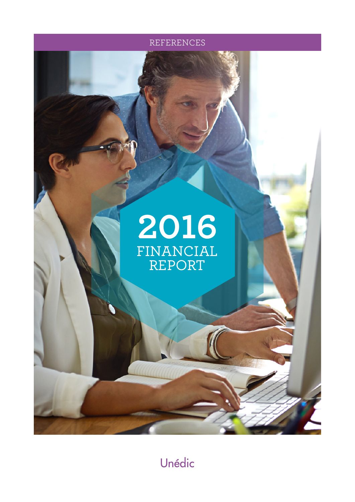



Unédic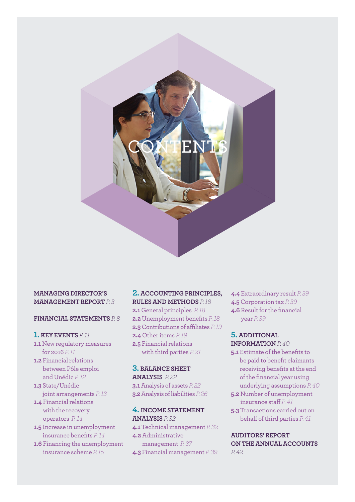

# **FINANCIAL STATEMENTS** *P. 8*

# **1. KEY EVENTS** *P. 11*

- **1.1** New regulatory measures for 2016 *P. 11*
- **1.2** Financial relations between Pôle emploi and Unédic *P. 12*
- **1.3** State/Unédic joint arrangements *P. 13*
- **1.4** Financial relations with the recovery operators *P. 14*
- **1.5** Increase in unemployment insurance benefits *P. 14*
- **1.6** Financing the unemployment insurance scheme *P. 15*

# **2. ACCOUNTING PRINCIPLES, RULES AND METHODS** *P. 18*

**2.1** General principles *P. 18* **2.2** Unemployment benefits *P. 18* **2.3** Contributions of affiliates *P. 19* **2.4** Other items *P. 19* **2.5** Financial relations with third parties *P. 21*

# **3. BALANCE SHEET ANALYSIS** *P. 22* **3.1** Analysis of assets *P. 22* **3.2** Analysis of liabilities *P. 26*

# **4. INCOME STATEMENT ANALYSIS** *P. 32*

**4.1** Technical management *P. 32* **4.2** Administrative management *P. 37* **4.3** Financial management *P. 39* **4.4** Extraordinary result *P. 39* **4.5** Corporation tax *P. 39* **4.6** Result for the financial year *P. 39*

#### **5. ADDITIONAL INFORMATION** *P. 40*

- **5.1** Estimate of the benefits to be paid to benefit claimants receiving benefits at the end of the financial year using underlying assumptions *P. 40*
- **5.2** Number of unemployment insurance staff *P. 41*
- **5.3** Transactions carried out on behalf of third parties *P. 41*

**AUDITORS' REPORT ON THE ANNUAL ACCOUNTS**  *P. 42*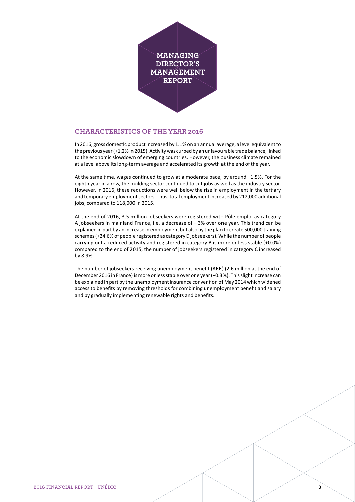

# **CHARACTERISTICS OF THE YEAR 2016**

In 2016, gross domestic product increased by 1.1% on an annual average, a level equivalent to the previous year (+1.2% in 2015). Activity was curbed by an unfavourable trade balance, linked to the economic slowdown of emerging countries. However, the business climate remained at a level above its long-term average and accelerated its growth at the end of the year.

At the same time, wages continued to grow at a moderate pace, by around +1.5%. For the eighth year in a row, the building sector continued to cut jobs as well as the industry sector. However, in 2016, these reductions were well below the rise in employment in the tertiary and temporary employment sectors. Thus, total employment increased by 212,000 additional jobs, compared to 118,000 in 2015.

At the end of 2016, 3.5 million jobseekers were registered with Pôle emploi as category A jobseekers in mainland France, i.e. a decrease of – 3% over one year. This trend can be explained in part by an increase in employment but also by the plan to create 500,000 training schemes (+24.6% of people registered as category D jobseekers). While the number of people carrying out a reduced activity and registered in category B is more or less stable (+0.0%) compared to the end of 2015, the number of jobseekers registered in category C increased by 8.9%.

The number of jobseekers receiving unemployment benefit (ARE) (2.6 million at the end of December 2016 in France) is more or less stable over one year (+0.3%). This slight increase can be explained in part by the unemployment insurance convention of May 2014 which widened access to benefits by removing thresholds for combining unemployment benefit and salary and by gradually implementing renewable rights and benefits.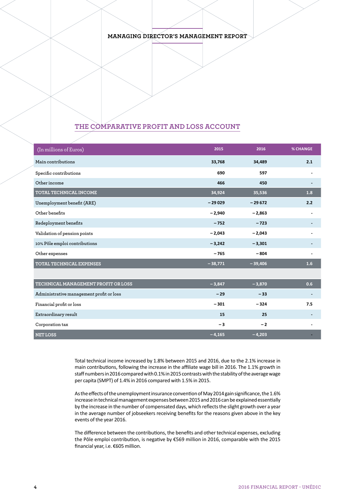# **THE COMPARATIVE PROFIT AND LOSS ACCOUNT**

| $(In$ millions of Euros)                 | 2015      | 2016      | <b>% CHANGE</b> |
|------------------------------------------|-----------|-----------|-----------------|
| Main contributions                       | 33,768    | 34,489    | 2.1             |
| Specific contributions                   | 690       | 597       |                 |
| Other income                             | 466       | 450       |                 |
| TOTAL TECHNICAL INCOME                   | 34,924    | 35,536    | 1.8             |
| Unemployment benefit (ARE)               | $-29029$  | $-29672$  | 2.2             |
| Other benefits                           | $-2,940$  | $-2,863$  |                 |
| Redeployment benefits                    | $-752$    | $-723$    |                 |
| Validation of pension points             | $-2,043$  | $-2,043$  |                 |
| 10% Pôle emploi contributions            | $-3,242$  | $-3,301$  |                 |
| Other expenses                           | $-765$    | $-804$    |                 |
| <b>TOTAL TECHNICAL EXPENSES</b>          | $-38,771$ | $-39,406$ | 1.6             |
|                                          |           |           |                 |
| TECHNICAL MANAGEMENT PROFIT OR LOSS      | $-3,847$  | $-3,870$  | 0.6             |
| Administrative management profit or loss | $-29$     | $-33$     |                 |
| Financial profit or loss                 | $-301$    | $-324$    | 7.5             |
| Extraordinary result                     | 15        | 25        |                 |
| Corporation tax                          | $-3$      | $-2$      |                 |
| <b>NET LOSS</b>                          | $-4,165$  | $-4,203$  |                 |

Total technical income increased by 1.8% between 2015 and 2016, due to the 2.1% increase in main contributions, following the increase in the affiliate wage bill in 2016. The 1.1% growth in staff numbers in 2016 compared with 0.1% in 2015 contrasts with the stability of the average wage per capita (SMPT) of 1.4% in 2016 compared with 1.5% in 2015.

As the effects of the unemployment insurance convention of May 2014 gain significance, the 1.6% increase in technical management expenses between 2015 and 2016 can be explained essentially by the increase in the number of compensated days, which reflects the slight growth over a year in the average number of jobseekers receiving benefits for the reasons given above in the key events of the year 2016.

The difference between the contributions, the benefits and other technical expenses, excluding the Pôle emploi contribution, is negative by €569 million in 2016, comparable with the 2015 financial year, i.e. €605 million.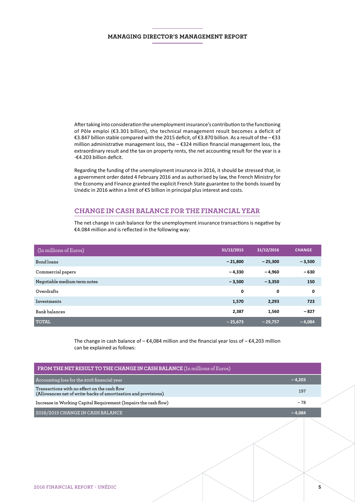After taking into consideration the unemployment insurance's contribution to the functioning of Pôle emploi (€3.301 billion), the technical management result becomes a deficit of €3.847 billion stable compared with the 2015 deficit, of €3.870 billion. As a result of the – €33 million administrative management loss, the – €324 million financial management loss, the extraordinary result and the tax on property rents, the net accounting result for the year is a -€4.203 billion deficit.

Regarding the funding of the unemployment insurance in 2016, it should be stressed that, in a government order dated 4 February 2016 and as authorised by law, the French Ministry for the Economy and Finance granted the explicit French State guarantee to the bonds issued by Unédic in 2016 within a limit of €5 billion in principal plus interest and costs.

# **CHANGE IN CASH BALANCE FOR THE FINANCIAL YEAR**

The net change in cash balance for the unemployment insurance transactions is negative by €4.084 million and is reflected in the following way:

| (In millions of Euros)       | 31/12/2015 | 31/12/2016  | <b>CHANGE</b> |
|------------------------------|------------|-------------|---------------|
| Bond loans                   | $-21,800$  | $-25,300$   | $-3,500$      |
| Commercial papers            | $-4,330$   | $-4,960$    | $-630$        |
| Negotiable medium term notes | $-3,500$   | $-3,350$    | 150           |
| Overdrafts                   | 0          | $\mathbf 0$ | 0             |
| Investments                  | 1,570      | 2,293       | 723           |
| Bank balances                | 2,387      | 1,560       | $-827$        |
| <b>TOTAL</b>                 | $-25,673$  | $-29.757$   | $-4,084$      |

The change in cash balance of  $-\epsilon 4,084$  million and the financial year loss of  $-\epsilon 4,203$  million can be explained as follows:

| FROM THE NET RESULT TO THE CHANGE IN CASH BALANCE (In millions of Euros)                                       |          |   |
|----------------------------------------------------------------------------------------------------------------|----------|---|
| Accounting loss for the 2016 financial year                                                                    | $-4,203$ |   |
| Transactions with no effect on the cash flow<br>(Allowances net of write-backs of amortisation and provisions) | 197      |   |
| Increase in Working Capital Requirement (Impairs the cash flow)                                                | $-78$    |   |
| 2016/2015 CHANGE IN CASH BALANCE                                                                               | $-4,084$ |   |
|                                                                                                                |          |   |
|                                                                                                                |          |   |
| 2016 FINANCIAL REPORT - UNÉDIC                                                                                 |          | 5 |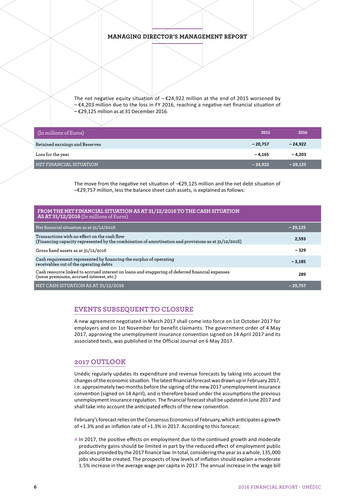The net negative equity situation of  $-\epsilon$ 24,922 million at the end of 2015 worsened by – €4,203 million due to the loss in FY 2016, reaching a negative net financial situation of – €29,125 million as at 31 December 2016.

| (In millions of Euros)         | 2015      | 2016      |
|--------------------------------|-----------|-----------|
| Retained earnings and Reserves | $-20.757$ | $-24.922$ |
| Loss for the year              | $-4.165$  | $-4,203$  |
| NET FINANCIAL SITUATION        | $-24,922$ | $-29,125$ |

The move from the negative net situation of –€29,125 million and the net debt situation of –€29,757 million, less the balance sheet cash assets, is explained as follows:

| FROM THE NET FINANCIAL SITUATION AS AT 31/12/2016 TO THE CASH SITUATION<br>AS AT 31/12/2016 (In millions of Euros)                                  |           |
|-----------------------------------------------------------------------------------------------------------------------------------------------------|-----------|
| Net financial situation as at 31/12/2016                                                                                                            | $-29,125$ |
| Transactions with no effect on the cash flow<br>(Financing capacity represented by the combination of amortisation and provisions as at 31/12/2016) | 2,593     |
| Gross fixed assets as at 31/12/2016                                                                                                                 | $-329$    |
| Cash requirement represented by financing the surplus of operating<br>receivables out of the operating debts                                        | $-3,185$  |
| Cash resource linked to accrued interest on loans and staggering of deferred financial expenses<br>(issue premiums, accrued interest, etc.)         | 289       |
| NET CASH SITUATION AS AT 31/12/2016                                                                                                                 | $-29.757$ |

# **EVENTS SUBSEQUENT TO CLOSURE**

A new agreement negotiated in March 2017 shall come into force on 1st October 2017 for employers and on 1st November for benefit claimants. The government order of 4 May 2017, approving the unemployment insurance convention signed on 14 April 2017 and its associated texts, was published in the Official Journal on 6 May 2017.

## **2017 OUTLOOK**

Unédic regularly updates its expenditure and revenue forecasts by taking into account the changes of the economic situation. The latest financial forecast was drawn up in February 2017, i.e. approximately two months before the signing of the new 2017 unemployment insurance convention (signed on 14 April), and is therefore based under the assumptions the previous unemployment insurance regulation. The financial forecast shall be updated in June 2017 and shall take into account the anticipated effects of the new convention.

February's forecast relies on the Consensus Economics of February, which anticipates a growth of +1.3% and an inflation rate of +1.3% in 2017. According to this forecast:

<sup>®</sup> In 2017, the positive effects on employment due to the continued growth and moderate productivity gains should be limited in part by the reduced effect of employment public policies provided by the 2017 finance law. In total, considering the year as a whole, 135,000 jobs should be created. The prospects of low levels of inflation should explain a moderate 1.5% increase in the average wage per capita in 2017. The annual increase in the wage bill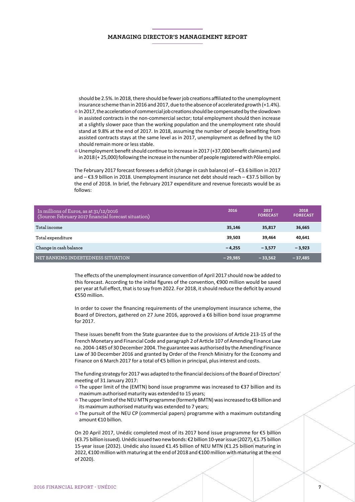should be 2.5%. In 2018, there should be fewer job creations affiliated to the unemployment insurance scheme than in 2016 and 2017, due to the absence of accelerated growth (+1.4%).

- 4 In 2017, the acceleration of commercial job creations should be compensated by the slowdown in assisted contracts in the non-commercial sector; total employment should then increase at a slightly slower pace than the working population and the unemployment rate should stand at 9.8% at the end of 2017. In 2018, assuming the number of people benefiting from assisted contracts stays at the same level as in 2017, unemployment as defined by the ILO should remain more or less stable.
- 4 Unemployment benefit should continue to increase in 2017 (+37,000 benefit claimants) and in 2018 (+ 25,000) following the increase in the number of people registered with Pôle emploi.

The February 2017 forecast foresees a deficit (change in cash balance) of – €3.6 billion in 2017 and – €3.9 billion in 2018. Unemployment insurance net debt should reach – €37.5 billion by the end of 2018. In brief, the February 2017 expenditure and revenue forecasts would be as follows:

| In millions of Euros, as at 31/12/2016<br>(Source: February 2017 financial forecast situation) | 2016      | 2017<br><b>FORECAST</b> | 2018<br><b>FORECAST</b> |
|------------------------------------------------------------------------------------------------|-----------|-------------------------|-------------------------|
| Total income                                                                                   | 35,146    | 35.817                  | 36,665                  |
| Total expenditure                                                                              | 39,503    | 39.464                  | 40,641                  |
| Change in cash balance                                                                         | $-4.255$  | $-3.577$                | $-3,923$                |
| NET BANKING INDEBTEDNESS SITUATION                                                             | $-29.985$ | $-33.562$               | $-37,485$               |

The effects of the unemployment insurance convention of April 2017 should now be added to this forecast. According to the initial figures of the convention, €900 million would be saved per year at full effect, that is to say from 2022. For 2018, it should reduce the deficit by around €550 million.

In order to cover the financing requirements of the unemployment insurance scheme, the Board of Directors, gathered on 27 June 2016, approved a €6 billion bond issue programme for 2017.

These issues benefit from the State guarantee due to the provisions of Article 213-15 of the French Monetary and Financial Code and paragraph 2 of Article 107 of Amending Finance Law no. 2004-1485 of 30 December 2004. The guarantee was authorised by the Amending Finance Law of 30 December 2016 and granted by Order of the French Ministry for the Economy and Finance on 6 March 2017 for a total of €5 billion in principal, plus interest and costs.

The funding strategy for 2017 was adapted to the financial decisions of the Board of Directors' meeting of 31 January 2017:

- 4 The upper limit of the (EMTN) bond issue programme was increased to €37 billion and its maximum authorised maturity was extended to 15 years;
- 4 The upper limit of the NEU MTN programme (formerly BMTN) was increased to €8 billion and its maximum authorised maturity was extended to 7 years;
- The pursuit of the NEU CP (commercial papers) programme with a maximum outstanding amount €10 billion.

On 20 April 2017, Unédic completed most of its 2017 bond issue programme for €5 billion (€3.75 billion issued). Unédic issued two new bonds: €2 billion 10-year issue (2027), €1.75 billion 15-year issue (2032). Unédic also issued €1.45 billion of NEU MTN (€1.25 billion maturing in 2022, €100 million with maturing at the end of 2018 and €100 million with maturing at the end of 2020).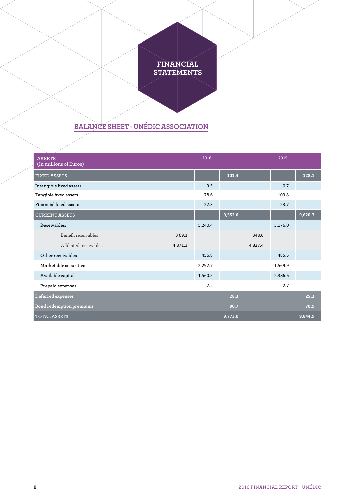# **FINANCIAL STATEMENTS**

# **BALANCE SHEET - UNÉDIC ASSOCIATION**

| <b>ASSETS</b>            |         | 2016    |         |         | 2015    |         |
|--------------------------|---------|---------|---------|---------|---------|---------|
| (In millions of Euros)   |         |         |         |         |         |         |
| <b>FIXED ASSETS</b>      |         |         | 101.4   |         |         | 128.1   |
| Intangible fixed assets  |         | 0.5     |         |         | 0.7     |         |
| Tangible fixed assets    |         | 78.6    |         |         | 103.8   |         |
| Financial fixed assets   |         | 22.3    |         |         | 23.7    |         |
| <b>CURRENT ASSETS</b>    |         |         | 9,552.6 |         |         | 9,620.7 |
| Receivables:             |         | 5,240.4 |         |         | 5,176.0 |         |
| Benefit receivables      | 369.1   |         |         | 348.6   |         |         |
| Affiliated receivables   | 4,871.3 |         |         | 4,827.4 |         |         |
| Other receivables        |         | 456.8   |         |         | 485.5   |         |
| Marketable securities    |         | 2,292.7 |         |         | 1,569.9 |         |
| Available capital        |         | 1,560.5 |         |         | 2,386.6 |         |
| Prepaid expenses         |         | 2.2     |         |         | 2.7     |         |
| Deferred expenses        |         |         | 28.3    |         |         | 25.2    |
| Bond redemption premiums |         |         | 90.7    |         |         | 70.9    |
| <b>TOTAL ASSETS</b>      |         |         | 9,773.0 |         |         | 9,844.9 |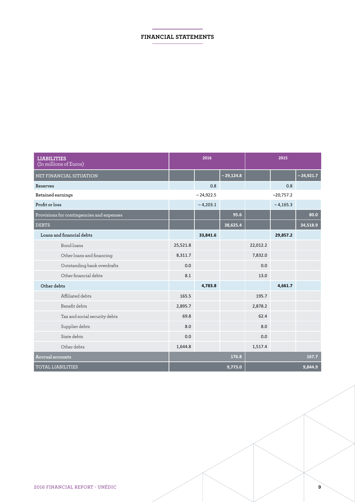# **FINANCIAL STATEMENTS**

| <b>LIABILITIES</b><br>(In millions of Euros) |          | 2016        |             |          | 2015        |             |
|----------------------------------------------|----------|-------------|-------------|----------|-------------|-------------|
| NET FINANCIAL SITUATION                      |          |             | $-29,124.8$ |          |             | $-24,921.7$ |
| Reserves                                     |          | 0.8         |             |          | 0.8         |             |
| Retained earnings                            |          | $-24,922.5$ |             |          | $-20,757.2$ |             |
| Profit or loss                               |          | $-4,203.1$  |             |          | $-4,165.3$  |             |
| Provisions for contingencies and expenses    |          |             | 95.6        |          |             | 80.0        |
| <b>DEBTS</b>                                 |          |             | 38,625.4    |          |             | 34,518.9    |
| Loans and financial debts                    |          | 33,841.6    |             |          | 29,857.2    |             |
| Bond loans                                   | 25,521.8 |             |             | 22,012.2 |             |             |
| Other loans and financing                    | 8,311.7  |             |             | 7,832.0  |             |             |
| Outstanding bank overdrafts                  | 0.0      |             |             | 0.0      |             |             |
| Other financial debts                        | 8.1      |             |             | 13.0     |             |             |
| Other debts                                  |          | 4,783.8     |             |          | 4,661.7     |             |
| Affiliated debts                             | 165.5    |             |             | 195.7    |             |             |
| Benefit debts                                | 2,895.7  |             |             | 2,878.2  |             |             |
| Tax and social security debts                | 69.8     |             |             | 62.4     |             |             |
| Supplier debts                               | 8.0      |             |             | 8.0      |             |             |
| State debts                                  | 0.0      |             |             | 0.0      |             |             |
| Other debts                                  | 1,644.8  |             |             | 1,517.4  |             |             |
| Accrual accounts                             |          |             | 176.8       |          |             | 167.7       |
| <b>TOTAL LIABILITIES</b>                     |          |             | 9,773.0     |          |             | 9.844.9     |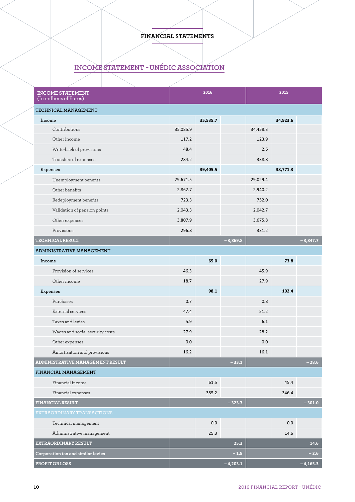# **FINANCIAL STATEMENTS**

# **INCOME STATEMENT  - UNÉDIC ASSOCIATION**

| <b>INCOME STATEMENT</b><br>(In millions of Euros) |          | 2016     |            |          | 2015     |            |
|---------------------------------------------------|----------|----------|------------|----------|----------|------------|
| TECHNICAL MANAGEMENT                              |          |          |            |          |          |            |
| Income                                            |          | 35,535.7 |            |          | 34,923.6 |            |
| Contributions                                     | 35,085.9 |          |            | 34,458.3 |          |            |
| Other income                                      | 117.2    |          |            | 123.9    |          |            |
| Write-back of provisions                          | 48.4     |          |            | 2.6      |          |            |
| Transfers of expenses                             | 284.2    |          |            | 338.8    |          |            |
| Expenses                                          |          | 39,405.5 |            |          | 38,771.3 |            |
| Unemployment benefits                             | 29,671.5 |          |            | 29,029.4 |          |            |
| Other benefits                                    | 2,862.7  |          |            | 2,940.2  |          |            |
| Redeployment benefits                             | 723.3    |          |            | 752.0    |          |            |
| Validation of pension points                      | 2,043.3  |          |            | 2,042.7  |          |            |
| Other expenses                                    | 3,807.9  |          |            | 3,675.8  |          |            |
| Provisions                                        | 296.8    |          |            | 331.2    |          |            |
| <b>TECHNICAL RESULT</b>                           |          |          | $-3,869.8$ |          |          | $-3,847.7$ |
| ADMINISTRATIVE MANAGEMENT                         |          |          |            |          |          |            |
| Income                                            |          | 65.0     |            |          | 73.8     |            |
| Provision of services                             | 46.3     |          |            | 45.9     |          |            |
| Other income                                      | 18.7     |          |            | 27.9     |          |            |
| Expenses                                          |          | 98.1     |            |          | 102.4    |            |
| Purchases                                         | 0.7      |          |            | 0.8      |          |            |
| External services                                 | 47.4     |          |            | 51.2     |          |            |
| Taxes and levies                                  | 5.9      |          |            | 6.1      |          |            |
| Wages and social security costs                   | 27.9     |          |            | 28.2     |          |            |
| Other expenses                                    | 0.0      |          |            | 0.0      |          |            |
| Amortisation and provisions                       | 16.2     |          |            | 16.1     |          |            |
| ADMINISTRATIVE MANAGEMENT RESULT                  |          |          | $-33.1$    |          |          | $-28.6$    |
| FINANCIAL MANAGEMENT                              |          |          |            |          |          |            |
| Financial income                                  |          | 61.5     |            |          | 45.4     |            |
| Financial expenses                                |          | 385.2    |            |          | 346.4    |            |
| <b>FINANCIAL RESULT</b>                           |          |          | $-323.7$   |          |          | $-301.0$   |
| EXTRAORDINARY TRANSACTIONS                        |          |          |            |          |          |            |
| Technical management                              |          | 0.0      |            |          | 0.0      |            |
| Administrative management                         |          | 25.3     |            |          | 14.6     |            |
| EXTRAORDINARY RESULT                              |          |          | 25.3       |          |          | 14.6       |
| Corporation tax and similar levies                |          |          | $-1.8$     |          |          | $-2.6$     |
| PROFIT OR LOSS                                    |          |          | $-4,203.1$ |          |          | $-4,165.3$ |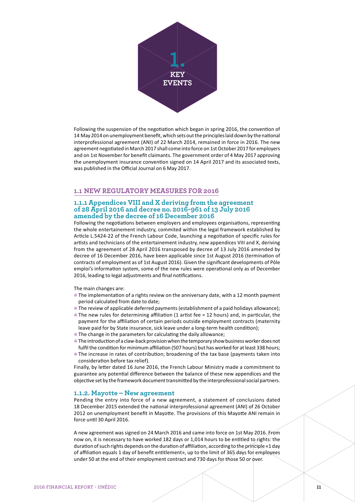

Following the suspension of the negotiation which began in spring 2016, the convention of 14 May 2014 on unemployment benefit, which sets out the principles laid down by the national interprofessional agreement (ANI) of 22 March 2014, remained in force in 2016. The new agreement negotiated in March 2017 shall come into force on 1st October 2017 for employers and on 1st November for benefit claimants. The government order of 4 May 2017 approving the unemployment insurance convention signed on 14 April 2017 and its associated texts, was published in the Official Journal on 6 May 2017.

#### **1.1 NEW REGULATORY MEASURES FOR 2016**

#### **1.1.1 Appendices VIII and X deriving from the agreement of 28 April 2016 and decree no. 2016-961 of 13 July 2016 amended by the decree of 16 December 2016**

Following the negotiations between employers and employees organisations, representing the whole entertainement industry, commited within the legal framework established by Article L.5424-22 of the French Labour Code, launching a negotiation of specific rules for artists and technicians of the entertainement industry, new appendices VIII and X, deriving from the agreement of 28 April 2016 transposed by decree of 13 July 2016 amended by decree of 16 December 2016, have been applicable since 1st August 2016 (termination of contracts of employment as of 1st August 2016). Given the significant developments of Pôle emploi's information system, some of the new rules were operational only as of December 2016, leading to legal adjustments and final notifications.

The main changes are:

- The implementation of a rights review on the anniversary date, with a 12 month payment period calculated from date to date;
- **The review of applicable deferred payments (establishment of a paid holidays allowance);**  $\bullet$  The new rules for determining affiliation (1 artist fee = 12 hours) and, in particular, the payment for the affiliation of certain periods outside employment contracts (maternity
- leave paid for by State insurance, sick leave under a long-term health condition);
- The change in the parameters for calculating the daily allowance;
- 4 The introduction of a claw-back provision when the temporary show business worker does not fulfil the condition for minimum affiliation (507 hours) but has worked for at least 338 hours;
- **The increase in rates of contribution; broadening of the tax base (payments taken into** consideration before tax relief).

Finally, by letter dated 16 June 2016, the French Labour Ministry made a commitment to guarantee any potential difference between the balance of these new appendices and the objective set by the framework document transmitted by the interprofessional social partners.

#### **1.1.2. Mayotte – New agreement**

Pending the entry into force of a new agreement, a statement of conclusions dated 18 December 2015 extended the national interprofessional agreement (ANI) of 26 October 2012 on unemployment benefit in Mayotte. The provisions of this Mayotte ANI remain in force until 30 April 2016.

A new agreement was signed on 24 March 2016 and came into force on 1st May 2016. From now on, it is necessary to have worked 182 days or 1,014 hours to be entitled to rights: the duration of such rights depends on the duration of affiliation, according to the principle «1 day of affiliation equals 1 day of benefit entitlement», up to the limit of 365 days for employees under 50 at the end of their employment contract and 730 days for those 50 or over.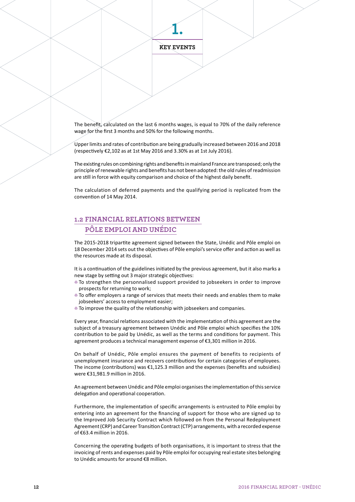**1.**

The benefit, calculated on the last 6 months wages, is equal to 70% of the daily reference wage for the first 3 months and 50% for the following months.

Upper limits and rates of contribution are being gradually increased between 2016 and 2018 (respectively €2,102 as at 1st May 2016 and 3.30% as at 1st July 2016).

The existing rules on combining rights and benefits in mainland France are transposed; only the principle of renewable rights and benefits has not been adopted: the old rules of readmission are still in force with equity comparison and choice of the highest daily benefit.

The calculation of deferred payments and the qualifying period is replicated from the convention of 14 May 2014.

# **1.2 FINANCIAL RELATIONS BETWEEN PÔLE EMPLOI AND UNÉDIC**

The 2015-2018 tripartite agreement signed between the State, Unédic and Pôle emploi on 18 December 2014 sets out the objectives of Pôle emploi's service offer and action as well as the resources made at its disposal.

It is a continuation of the guidelines initiated by the previous agreement, but it also marks a new stage by setting out 3 major strategic objectives:

- 4 To strengthen the personnalised support provided to jobseekers in order to improve prospects for returning to work;
- $\bullet$  To offer employers a range of services that meets their needs and enables them to make jobseekers' access to employment easier;
- $\bullet$  To improve the quality of the relationship with jobseekers and companies.

Every year, financial relations associated with the implementation of this agreement are the subject of a treasury agreement between Unédic and Pôle emploi which specifies the 10% contribution to be paid by Unédic, as well as the terms and conditions for payment. This agreement produces a technical management expense of €3,301 million in 2016.

On behalf of Unédic, Pôle emploi ensures the payment of benefits to recipients of unemployment insurance and recovers contributions for certain categories of employees. The income (contributions) was €1,125.3 million and the expenses (benefits and subsidies) were €31,981.9 million in 2016.

An agreement between Unédic and Pôle emploi organises the implementation of this service delegation and operational cooperation.

Furthermore, the implementation of specific arrangements is entrusted to Pôle emploi by entering into an agreement for the financing of support for those who are signed up to the Improved Job Security Contract which followed on from the Personal Redeployment Agreement (CRP) and Career Transition Contract (CTP) arrangements, with a recorded expense of €63.4 million in 2016.

Concerning the operating budgets of both organisations, it is important to stress that the invoicing of rents and expenses paid by Pôle emploi for occupying real estate sites belonging to Unédic amounts for around €8 million.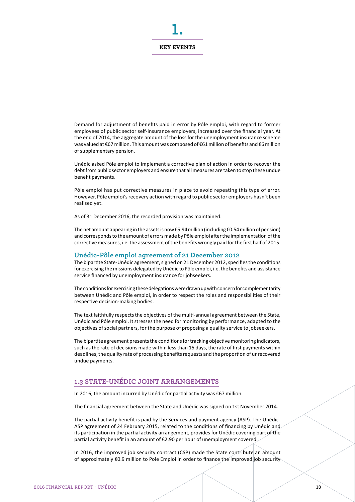#### **KEY EVENTS**

**1.**

Demand for adjustment of benefits paid in error by Pôle emploi, with regard to former employees of public sector self-insurance employers, increased over the financial year. At the end of 2014, the aggregate amount of the loss for the unemployment insurance scheme was valued at €67 million. This amount was composed of €61 million of benefits and €6 million of supplementary pension.

Unédic asked Pôle emploi to implement a corrective plan of action in order to recover the debt from public sector employers and ensure that all measures are taken to stop these undue benefit payments.

Pôle emploi has put corrective measures in place to avoid repeating this type of error. However, Pôle emploi's recovery action with regard to public sector employers hasn't been realised yet.

As of 31 December 2016, the recorded provision was maintained.

The net amount appearing in the assets is now €5.94 million (including €0.54 million of pension) and corresponds to the amount of errors made by Pôle emploi after the implementation of the corrective measures, i.e. the assessment of the benefits wrongly paid for the first half of 2015.

#### **Unédic-Pôle emploi agreement of 21 December 2012**

The bipartite State-Unédic agreement, signed on 21 December 2012, specifies the conditions for exercising the missions delegated by Unédic to Pôle emploi, i.e. the benefits and assistance service financed by unemployment insurance for jobseekers.

The conditions for exercising these delegations were drawn up with concern for complementarity between Unédic and Pôle emploi, in order to respect the roles and responsibilities of their respective decision-making bodies.

The text faithfully respects the objectives of the multi-annual agreement between the State, Unédic and Pôle emploi. It stresses the need for monitoring by performance, adapted to the objectives of social partners, for the purpose of proposing a quality service to jobseekers.

The bipartite agreement presents the conditions for tracking objective monitoring indicators, such as the rate of decisions made within less than 15 days, the rate of first payments within deadlines, the quality rate of processing benefits requests and the proportion of unrecovered undue payments.

# **1.3 STATE-UNÉDIC JOINT ARRANGEMENTS**

In 2016, the amount incurred by Unédic for partial activity was €67 million.

The financial agreement between the State and Unédic was signed on 1st November 2014.

The partial activity benefit is paid by the Services and payment agency (ASP). The Unédic-ASP agreement of 24 February 2015, related to the conditions of financing by Unédic and its participation in the partial activity arrangement, provides for Unédic covering part of the partial activity benefit in an amount of €2.90 per hour of unemployment covered.

In 2016, the improved job security contract (CSP) made the State contribute an amount of approximately €0.9 million to Pole Emploi in order to finance the improved job security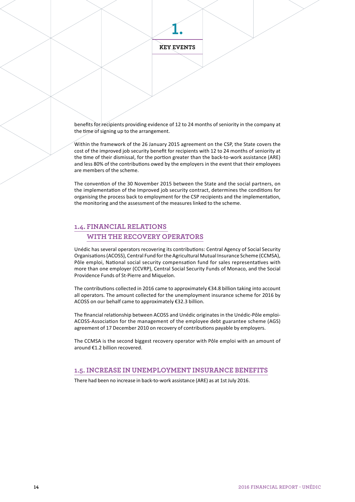**1.**

benefits for recipients providing evidence of 12 to 24 months of seniority in the company at the time of signing up to the arrangement.

Within the framework of the 26 January 2015 agreement on the CSP, the State covers the cost of the improved job security benefit for recipients with 12 to 24 months of seniority at the time of their dismissal, for the portion greater than the back-to-work assistance (ARE) and less 80% of the contributions owed by the employers in the event that their employees are members of the scheme.

The convention of the 30 November 2015 between the State and the social partners, on the implementation of the Improved job security contract, determines the conditions for organising the process back to employment for the CSP recipients and the implementation, the monitoring and the assessment of the measures linked to the scheme.

# **1.4. FINANCIAL RELATIONS WITH THE RECOVERY OPERATORS**

Unédic has several operators recovering its contributions: Central Agency of Social Security Organisations (ACOSS), Central Fund for the Agricultural Mutual Insurance Scheme (CCMSA), Pôle emploi, National social security compensation fund for sales representatives with more than one employer (CCVRP), Central Social Security Funds of Monaco, and the Social Providence Funds of St-Pierre and Miquelon.

The contributions collected in 2016 came to approximately €34.8 billion taking into account all operators. The amount collected for the unemployment insurance scheme for 2016 by ACOSS on our behalf came to approximately €32.3 billion.

The financial relationship between ACOSS and Unédic originates in the Unédic-Pôle emploi-ACOSS-Association for the management of the employee debt guarantee scheme (AGS) agreement of 17 December 2010 on recovery of contributions payable by employers.

The CCMSA is the second biggest recovery operator with Pôle emploi with an amount of around €1.2 billion recovered.

#### **1.5. INCREASE IN UNEMPLOYMENT INSURANCE BENEFITS**

There had been no increase in back-to-work assistance (ARE) as at 1st July 2016.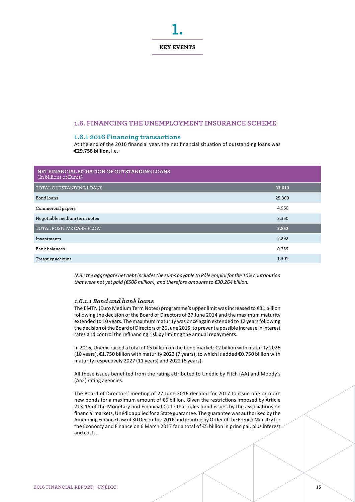

#### **1.6. FINANCING THE UNEMPLOYMENT INSURANCE SCHEME**

#### **1.6.1 2016 Financing transactions**

At the end of the 2016 financial year, the net financial situation of outstanding loans was **€29.758 billion,** i.e.:

| NET FINANCIAL SITUATION OF OUTSTANDING LOANS<br>(In billions of Euros) |        |
|------------------------------------------------------------------------|--------|
| <b>TOTAL OUTSTANDING LOANS</b>                                         | 33.610 |
| Bond loans                                                             | 25.300 |
| Commercial papers                                                      | 4.960  |
| Negotiable medium term notes                                           | 3.350  |
| <b>TOTAL POSITIVE CASH FLOW</b>                                        | 3.852  |
| Investments                                                            | 2.292  |
| Bank balances                                                          | 0.259  |
| Treasury account                                                       | 1.301  |

*N.B.: the aggregate net debt includes the sums payable to Pôle emploi for the 10% contribution that were not yet paid (€506 million), and therefore amounts to €30.264 billion.*

#### *1.6.1.1 Bond and bank loans*

The EMTN (Euro Medium Term Notes) programme's upper limit was increased to €31 billion following the decision of the Board of Directors of 27 June 2014 and the maximum maturity extended to 10 years. The maximum maturity was once again extended to 12 years following the decision of the Board of Directors of 26 June 2015, to prevent a possible increase in interest rates and control the refinancing risk by limiting the annual repayments.

In 2016, Unédic raised a total of €5 billion on the bond market: €2 billion with maturity 2026 (10 years), €1.750 billion with maturity 2023 (7 years), to which is added €0.750 billion with maturity respectively 2027 (11 years) and 2022 (6 years).

All these issues benefited from the rating attributed to Unédic by Fitch (AA) and Moody's (Aa2) rating agencies.

The Board of Directors' meeting of 27 June 2016 decided for 2017 to issue one or more new bonds for a maximum amount of €6 billion. Given the restrictions imposed by Article 213-15 of the Monetary and Financial Code that rules bond issues by the associations on financial markets, Unédic applied for a State guarantee. The guarantee was authorised by the Amending Finance Law of 30 December 2016 and granted by Order of the French Ministry for the Economy and Finance on 6 March 2017 for a total of €5 billion in principal, plus interest and costs.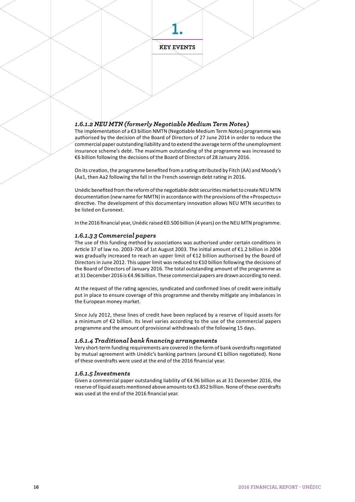**1.**

# *1.6.1.2 NEU MTN (formerly Negotiable Medium Term Notes)*

The implementation of a €3 billion NMTN (Negotiable Medium Term Notes) programme was authorised by the decision of the Board of Directors of 27 June 2014 in order to reduce the commercial paper outstanding liability and to extend the average term of the unemployment insurance scheme's debt. The maximum outstanding of the programme was increased to €6 billion following the decisions of the Board of Directors of 28 January 2016.

On its creation, the programme benefited from a rating attributed by Fitch (AA) and Moody's (Aa1, then Aa2 following the fall in the French sovereign debt rating in 2016.

Unédic benefited from the reform of the negotiable debt securities market to create NEU MTN documentation (new name for NMTN) in accordance with the provisions of the «Prospectus» directive. The development of this documentary innovation allows NEU MTN securities to be listed on Euronext.

In the 2016 financial year, Unédic raised €0.500 billion (4 years) on the NEU MTN programme.

#### *1.6.1.3 3 Commercial papers*

The use of this funding method by associations was authorised under certain conditions in Article 37 of law no. 2003-706 of 1st August 2003. The initial amount of €1.2 billion in 2004 was gradually increased to reach an upper limit of €12 billion authorised by the Board of Directors in June 2012. This upper limit was reduced to €10 billion following the decisions of the Board of Directors of January 2016. The total outstanding amount of the programme as at 31 December 2016 is €4.96 billion. These commercial papers are drawn according to need.

At the request of the rating agencies, syndicated and confirmed lines of credit were initially put in place to ensure coverage of this programme and thereby mitigate any imbalances in the European money market.

Since July 2012, these lines of credit have been replaced by a reserve of liquid assets for a minimum of €2 billion. Its level varies according to the use of the commercial papers programme and the amount of provisional withdrawals of the following 15 days.

#### *1.6.1.4 Traditional bank financing arrangements*

Very short-term funding requirements are covered in the form of bank overdrafts negotiated by mutual agreement with Unédic's banking partners (around €1 billion negotiated). None of these overdrafts were used at the end of the 2016 financial year.

#### *1.6.1.5 Investments*

Given a commercial paper outstanding liability of €4.96 billion as at 31 December 2016, the reserve of liquid assets mentioned above amounts to €3.852 billion. None of these overdrafts was used at the end of the 2016 financial year.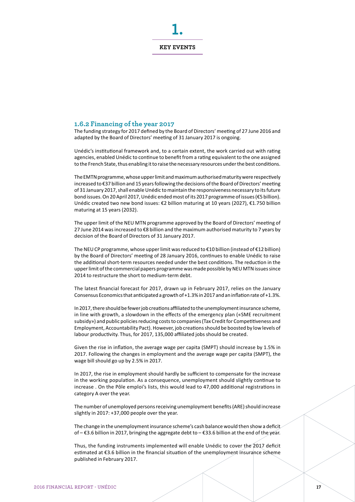

#### **1.6.2 Financing of the year 2017**

The funding strategy for 2017 defined by the Board of Directors' meeting of 27 June 2016 and adapted by the Board of Directors' meeting of 31 January 2017 is ongoing.

Unédic's institutional framework and, to a certain extent, the work carried out with rating agencies, enabled Unédic to continue to benefit from a rating equivalent to the one assigned to the French State, thus enabling it to raise the necessary resources under the best conditions.

The EMTN programme, whose upper limit and maximum authorised maturity were respectively increased to €37 billion and 15 years following the decisions of the Board of Directors' meeting of 31 January 2017, shall enable Unédic to maintain the responsiveness necessary to its future bond issues. On 20 April 2017, Unédic ended most of its 2017 programme of issues (€5 billion). Unédic created two new bond issues: €2 billion maturing at 10 years (2027), €1.750 billion maturing at 15 years (2032).

The upper limit of the NEU MTN programme approved by the Board of Directors' meeting of 27 June 2014 was increased to €8 billion and the maximum authorised maturity to 7 years by decision of the Board of Directors of 31 January 2017.

The NEU CP programme, whose upper limit was reduced to €10 billion (instead of €12 billion) by the Board of Directors' meeting of 28 January 2016, continues to enable Unédic to raise the additional short-term resources needed under the best conditions. The reduction in the upper limit of the commercial papers programme was made possible by NEU MTN issues since 2014 to restructure the short to medium-term debt.

The latest financial forecast for 2017, drawn up in February 2017, relies on the January Consensus Economics that anticipated a growth of +1.3% in 2017 and an inflation rate of +1.3%.

In 2017, there should be fewer job creations affiliated to the unemployment insurance scheme, in line with growth, a slowdown in the effects of the emergency plan («SME recruitment subsidy») and public policies reducing costs to companies (Tax Credit for Competitiveness and Employment, Accountability Pact). However, job creations should be boosted by low levels of labour productivity. Thus, for 2017, 135,000 affiliated jobs should be created.

Given the rise in inflation, the average wage per capita (SMPT) should increase by 1.5% in 2017. Following the changes in employment and the average wage per capita (SMPT), the wage bill should go up by 2.5% in 2017.

In 2017, the rise in employment should hardly be sufficient to compensate for the increase in the working population. As a consequence, unemployment should slightly continue to increase . On the Pôle emploi's lists, this would lead to 47,000 additional registrations in category A over the year.

The number of unemployed persons receiving unemployment benefits (ARE) should increase slightly in 2017: +37,000 people over the year.

The change in the unemployment insurance scheme's cash balance would then show a deficit of – €3.6 billion in 2017, bringing the aggregate debt to – €33.6 billion at the end of the year.

Thus, the funding instruments implemented will enable Unédic to cover the 2017 deficit estimated at €3.6 billion in the financial situation of the unemployment insurance scheme published in February 2017.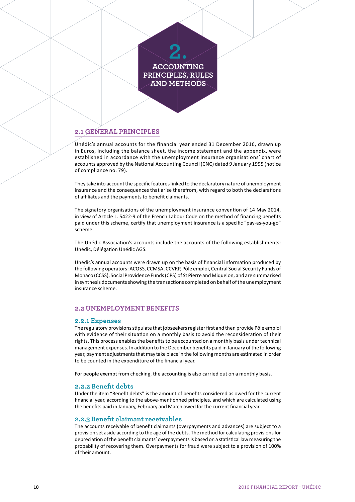# **2. ACCOUNTING PRINCIPLES, RULES AND METHODS**

# **2.1 GENERAL PRINCIPLES**

Unédic's annual accounts for the financial year ended 31 December 2016, drawn up in Euros, including the balance sheet, the income statement and the appendix, were established in accordance with the unemployment insurance organisations' chart of accounts approved by the National Accounting Council (CNC) dated 9 January 1995 (notice of compliance no. 79).

They take into account the specific features linked to the declaratory nature of unemployment insurance and the consequences that arise therefrom, with regard to both the declarations of affiliates and the payments to benefit claimants.

The signatory organisations of the unemployment insurance convention of 14 May 2014, in view of Article L. 5422-9 of the French Labour Code on the method of financing benefits paid under this scheme, certify that unemployment insurance is a specific "pay-as-you-go" scheme.

The Unédic Association's accounts include the accounts of the following establishments: Unédic, Délégation Unédic AGS.

Unédic's annual accounts were drawn up on the basis of financial information produced by the following operators: ACOSS, CCMSA, CCVRP, Pôle emploi, Central Social Security Funds of Monaco (CCSS), Social Providence Funds (CPS) of St Pierre and Miquelon, and are summarised in synthesis documents showing the transactions completed on behalf of the unemployment insurance scheme.

# **2.2 UNEMPLOYMENT BENEFITS**

#### **2.2.1 Expenses**

The regulatory provisions stipulate that jobseekers register first and then provide Pôle emploi with evidence of their situation on a monthly basis to avoid the reconsideration of their rights. This process enables the benefits to be accounted on a monthly basis under technical management expenses. In addition to the December benefits paid in January of the following year, payment adjustments that may take place in the following months are estimated in order to be counted in the expenditure of the financial year.

For people exempt from checking, the accounting is also carried out on a monthly basis.

#### **2.2.2 Benefit debts**

Under the item "Benefit debts" is the amount of benefits considered as owed for the current financial year, according to the above-mentionned principles, and which are calculated using the benefits paid in January, February and March owed for the current financial year.

#### **2.2.3 Benefit claimant receivables**

The accounts receivable of benefit claimants (overpayments and advances) are subject to a provision set aside according to the age of the debts. The method for calculating provisions for depreciation of the benefit claimants' overpayments is based on a statistical law measuring the probability of recovering them. Overpayments for fraud were subject to a provision of 100% of their amount.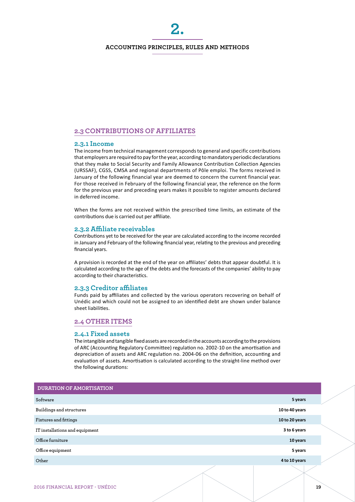**2.**

# **2.3 CONTRIBUTIONS OF AFFILIATES**

#### **2.3.1 Income**

The income from technical management corresponds to general and specific contributions that employers are required to pay for the year, according to mandatory periodic declarations that they make to Social Security and Family Allowance Contribution Collection Agencies (URSSAF), CGSS, CMSA and regional departments of Pôle emploi. The forms received in January of the following financial year are deemed to concern the current financial year. For those received in February of the following financial year, the reference on the form for the previous year and preceding years makes it possible to register amounts declared in deferred income.

When the forms are not received within the prescribed time limits, an estimate of the contributions due is carried out per affiliate.

#### **2.3.2 Affiliate receivables**

Contributions yet to be received for the year are calculated according to the income recorded in January and February of the following financial year, relating to the previous and preceding financial years.

A provision is recorded at the end of the year on affiliates' debts that appear doubtful. It is calculated according to the age of the debts and the forecasts of the companies' ability to pay according to their characteristics.

#### **2.3.3 Creditor affiliates**

Funds paid by affiliates and collected by the various operators recovering on behalf of Unédic and which could not be assigned to an identified debt are shown under balance sheet liabilities.

#### **2.4 OTHER ITEMS**

#### **2.4.1 Fixed assets**

The intangible and tangible fixed assets are recorded in the accounts according to the provisions of ARC (Accounting Regulatory Committee) regulation no. 2002-10 on the amortisation and depreciation of assets and ARC regulation no. 2004-06 on the definition, accounting and evaluation of assets. Amortisation is calculated according to the straight-line method over the following durations:

| <b>DURATION OF AMORTISATION</b> |                |  |
|---------------------------------|----------------|--|
| Software                        | 5 years        |  |
| Buildings and structures        | 10 to 40 years |  |
| Fixtures and fittings           | 10 to 20 years |  |
| IT installations and equipment  | 3 to 6 years   |  |
| Office furniture                | 10 years       |  |
| Office equipment                | 5 years        |  |
| Other                           | 4 to 10 years  |  |
|                                 |                |  |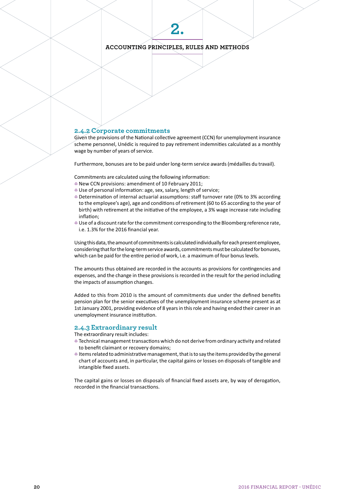# **ACCOUNTING PRINCIPLES, RULES AND METHODS**

**2.**

#### **2.4.2 Corporate commitments**

Given the provisions of the National collective agreement (CCN) for unemployment insurance scheme personnel, Unédic is required to pay retirement indemnities calculated as a monthly wage by number of years of service.

Furthermore, bonuses are to be paid under long-term service awards (médailles du travail).

Commitments are calculated using the following information:

- $\bullet$  New CCN provisions: amendment of 10 February 2011;
- 4 Use of personal information: age, sex, salary, length of service;
- 4 Determination of internal actuarial assumptions: staff turnover rate (0% to 3% according to the employee's age), age and conditions of retirement (60 to 65 according to the year of birth) with retirement at the initiative of the employee, a 3% wage increase rate including inflation;
- Use of a discount rate for the commitment corresponding to the Bloomberg reference rate, i.e. 1.3% for the 2016 financial year.

Using this data, the amount of commitments is calculated individually for each present employee, considering that for the long-term service awards, commitments must be calculated for bonuses, which can be paid for the entire period of work, i.e. a maximum of four bonus levels.

The amounts thus obtained are recorded in the accounts as provisions for contingencies and expenses, and the change in these provisions is recorded in the result for the period including the impacts of assumption changes.

Added to this from 2010 is the amount of commitments due under the defined benefits pension plan for the senior executives of the unemployment insurance scheme present as at 1st January 2001, providing evidence of 8 years in this role and having ended their career in an unemployment insurance institution.

#### **2.4.3 Extraordinary result**

The extraordinary result includes:

- 4 Technical management transactions which do not derive from ordinary activity and related to benefit claimant or recovery domains;
- $\bullet$  Items related to administrative management, that is to say the items provided by the general chart of accounts and, in particular, the capital gains or losses on disposals of tangible and intangible fixed assets.

The capital gains or losses on disposals of financial fixed assets are, by way of derogation, recorded in the financial transactions.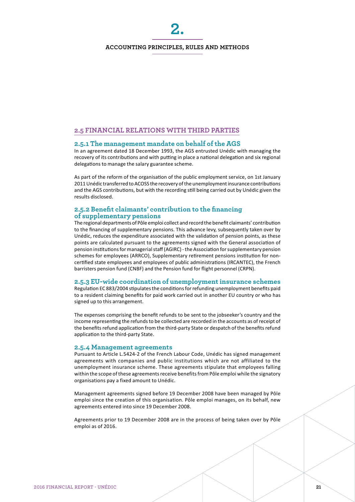**2.**

# **2.5 FINANCIAL RELATIONS WITH THIRD PARTIES**

# **2.5.1 The management mandate on behalf of the AGS**

In an agreement dated 18 December 1993, the AGS entrusted Unédic with managing the recovery of its contributions and with putting in place a national delegation and six regional delegations to manage the salary guarantee scheme.

As part of the reform of the organisation of the public employment service, on 1st January 2011 Unédic transferred to ACOSS the recovery of the unemployment insurance contributions and the AGS contributions, but with the recording still being carried out by Unédic given the results disclosed.

#### **2.5.2 Benefit claimants' contribution to the financing of supplementary pensions**

The regional departments of Pôle emploi collect and record the benefit claimants' contribution to the financing of supplementary pensions. This advance levy, subsequently taken over by Unédic, reduces the expenditure associated with the validation of pension points, as these points are calculated pursuant to the agreements signed with the General association of pension institutions for managerial staff (AGIRC) - the Association for supplementary pension schemes for employees (ARRCO), Supplementary retirement pensions institution for noncertified state employees and employees of public administrations (IRCANTEC), the French barristers pension fund (CNBF) and the Pension fund for flight personnel (CRPN).

# **2.5.3 EU-wide coordination of unemployment insurance schemes**

Regulation EC 883/2004 stipulates the conditions for refunding unemployment benefits paid to a resident claiming benefits for paid work carried out in another EU country or who has signed up to this arrangement.

The expenses comprising the benefit refunds to be sent to the jobseeker's country and the income representing the refunds to be collected are recorded in the accounts as of receipt of the benefits refund application from the third-party State or despatch of the benefits refund application to the third-party State.

#### **2.5.4 Management agreements**

Pursuant to Article L.5424-2 of the French Labour Code, Unédic has signed management agreements with companies and public institutions which are not affiliated to the unemployment insurance scheme. These agreements stipulate that employees falling within the scope of these agreements receive benefits from Pôle emploi while the signatory organisations pay a fixed amount to Unédic.

Management agreements signed before 19 December 2008 have been managed by Pôle emploi since the creation of this organisation. Pôle emploi manages, on its behalf, new agreements entered into since 19 December 2008.

Agreements prior to 19 December 2008 are in the process of being taken over by Pôle emploi as of 2016.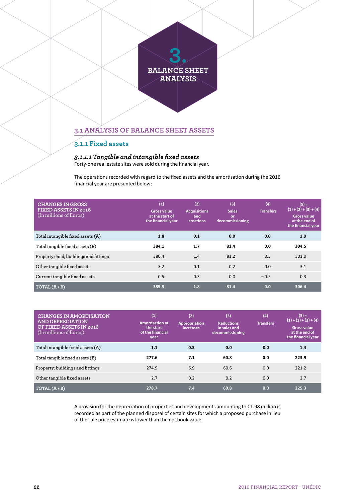# **3.1 ANALYSIS OF BALANCE SHEET ASSETS**

# **3.1.1 Fixed assets**

# *3.1.1.1 Tangible and intangible fixed assets*

Forty-one real estate sites were sold during the financial year.

The operations recorded with regard to the fixed assets and the amortisation during the 2016 financial year are presented below:

| <b>CHANGES IN GROSS</b><br><b>FIXED ASSETS IN 2016</b><br>(In millions of Euros) | (1)<br><b>Gross value</b><br>at the start of<br>the financial year | (2)<br><b>Acquisitions</b><br>and<br>creations | (3)<br><b>Sales</b><br>or<br>decommissioning | (4)<br><b>Transfers</b> | $(5) =$<br>$(1) + (2) + (3) + (4)$<br><b>Gross value</b><br>at the end of<br>the financial year |
|----------------------------------------------------------------------------------|--------------------------------------------------------------------|------------------------------------------------|----------------------------------------------|-------------------------|-------------------------------------------------------------------------------------------------|
| Total intangible fixed assets (A)                                                | 1.8                                                                | 0.1                                            | 0.0                                          | 0.0                     | 1.9                                                                                             |
| Total tangible fixed assets (B)                                                  | 384.1                                                              | 1.7                                            | 81.4                                         | 0.0                     | 304.5                                                                                           |
| Property: land, buildings and fittings                                           | 380.4                                                              | 1.4                                            | 81.2                                         | 0.5                     | 301.0                                                                                           |
| Other tangible fixed assets                                                      | 3.2                                                                | 0.1                                            | 0.2                                          | 0.0                     | 3.1                                                                                             |
| Current tangible fixed assets                                                    | 0.5                                                                | 0.3                                            | 0.0                                          | $-0.5$                  | 0.3                                                                                             |
| $TOTAL(A+B)$                                                                     | 385.9                                                              | 1.8                                            | 81.4                                         | 0.0                     | 306.4                                                                                           |

| <b>CHANGES IN AMORTISATION</b><br><b>AND DEPRECIATION</b><br>OF FIXED ASSETS IN 2016<br>(In millions of Euros) | (1)<br><b>Amortisation at</b><br>the start<br>of the financial<br>year | (2)<br><b>Appropriation</b><br>increases | (3)<br><b>Reductions</b><br>in sales and<br>decommissioning | (4)<br><b>Transfers</b> | $(5) =$<br>$(1) + (2) + (3) + (4)$<br><b>Gross value</b><br>at the end of<br>the financial year |
|----------------------------------------------------------------------------------------------------------------|------------------------------------------------------------------------|------------------------------------------|-------------------------------------------------------------|-------------------------|-------------------------------------------------------------------------------------------------|
| Total intangible fixed assets (A)                                                                              | 1.1                                                                    | 0.3                                      | 0.0                                                         | 0.0                     | 1.4                                                                                             |
| Total tangible fixed assets (B)                                                                                | 277.6                                                                  | 7.1                                      | 60.8                                                        | 0.0                     | 223.9                                                                                           |
| Property: buildings and fittings                                                                               | 274.9                                                                  | 6.9                                      | 60.6                                                        | 0.0                     | 221.2                                                                                           |
| Other tangible fixed assets                                                                                    | 2.7                                                                    | 0.2                                      | 0.2                                                         | 0.0                     | 2.7                                                                                             |
| $TOTAL(A+B)$                                                                                                   | 278.7                                                                  | 7.4                                      | 60.8                                                        | 0.0                     | 225.3                                                                                           |

A provision for the depreciation of properties and developments amounting to €1.98 million is recorded as part of the planned disposal of certain sites for which a proposed purchase in lieu of the sale price estimate is lower than the net book value.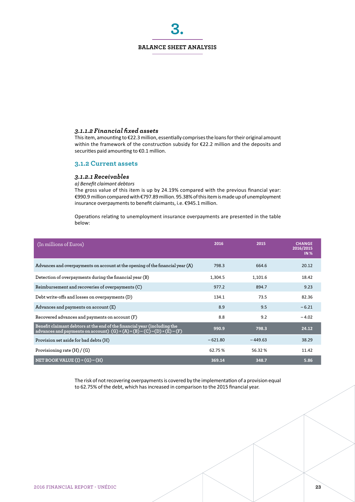**3.**

# *3.1.1.2 Financial fixed assets*

This item, amounting to €22.3 million, essentially comprises the loans for their original amount within the framework of the construction subsidy for €22.2 million and the deposits and securities paid amounting to €0.1 million.

#### **3.1.2 Current assets**

#### *3.1.2.1 Receivables*

*a) Benefit claimant debtors*

The gross value of this item is up by 24.19% compared with the previous financial year: €990.9 million compared with €797.89 million. 95.38% of this item is made up of unemployment insurance overpayments to benefit claimants, i.e. €945.1 million.

Operations relating to unemployment insurance overpayments are presented in the table below:

| (In millions of Euros)                                                                                                                                  | 2016      | 2015      | <b>CHANGE</b><br>2016/2015<br><b>IN %</b> |
|---------------------------------------------------------------------------------------------------------------------------------------------------------|-----------|-----------|-------------------------------------------|
| Advances and overpayments on account at the opening of the financial year $(A)$                                                                         | 798.3     | 664.6     | 20.12                                     |
| Detection of overpayments during the financial year (B)                                                                                                 | 1,304.5   | 1,101.6   | 18.42                                     |
| Reimbursement and recoveries of overpayments (C)                                                                                                        | 977.2     | 894.7     | 9.23                                      |
| Debt write-offs and losses on overpayments (D)                                                                                                          | 134.1     | 73.5      | 82.36                                     |
| Advances and payments on account (E)                                                                                                                    | 8.9       | 9.5       | $-6.21$                                   |
| Recovered advances and payments on account (F)                                                                                                          | 8.8       | 9.2       | $-4.02$                                   |
| Benefit claimant debtors at the end of the financial year (including the<br>advances and payments on account) $(G) = (A) + (B) - (C) - (D) + (E) - (F)$ | 990.9     | 798.3     | 24.12                                     |
| Provision set aside for bad debts (H)                                                                                                                   | $-621.80$ | $-449.63$ | 38.29                                     |
| Provisioning rate $(H)/(G)$                                                                                                                             | 62.75%    | 56.32%    | 11.42                                     |
| NET BOOK VALUE $(I) = (G) - (H)$                                                                                                                        | 369.14    | 348.7     | 5.86                                      |

The risk of not recovering overpayments is covered by the implementation of a provision equal to 62.75% of the debt, which has increased in comparison to the 2015 financial year.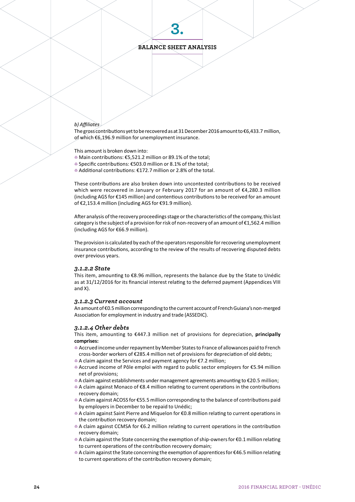**3.**

## *b) Affiliates*

The gross contributions yet to be recovered as at 31 December 2016 amount to €6,433.7 million, of which €6,196.9 million for unemployment insurance.

This amount is broken down into:

- 4 Main contributions: €5,521.2 million or 89.1% of the total;
- 4 Specific contributions: €503.0 million or 8.1% of the total;
- 4 Additional contributions: €172.7 million or 2.8% of the total.

These contributions are also broken down into uncontested contributions to be received which were recovered in January or February 2017 for an amount of €4,280.3 million (including AGS for €145 million) and contentious contributions to be received for an amount of €2,153.4 million (including AGS for €91.9 million).

After analysis of the recovery proceedings stage or the characteristics of the company, this last category is the subject of a provision for risk of non-recovery of an amount of €1,562.4 million (including AGS for €66.9 million).

The provision is calculated by each of the operators responsible for recovering unemployment insurance contributions, according to the review of the results of recovering disputed debts over previous years.

#### *3.1.2.2 State*

This item, amounting to €8.96 million, represents the balance due by the State to Unédic as at 31/12/2016 for its financial interest relating to the deferred payment (Appendices VIII and X).

#### *3.1.2.3 Current account*

An amount of €0.5 million corresponding to the current account of French Guiana's non-merged Association for employment in industry and trade (ASSEDIC).

#### *3.1.2.4 Other debts*

This item, amounting to €447.3 million net of provisions for depreciation, **principally comprises:**

- 4 Accrued income under repayment by Member States to France of allowances paid to French cross-border workers of €285.4 million net of provisions for depreciation of old debts;
- 4 A claim against the Services and payment agency for €7.2 million;
- 4 Accrued income of Pôle emploi with regard to public sector employers for €5.94 million net of provisions;
- 4 A claim against establishments under management agreements amounting to €20.5 million;
- 4 A claim against Monaco of €8.4 million relating to current operations in the contributions recovery domain;
- 4 A claim against ACOSS for €55.5 million corresponding to the balance of contributions paid by employers in December to be repaid to Unédic;
- 4 A claim against Saint Pierre and Miquelon for €0.8 million relating to current operations in the contribution recovery domain;
- 4 A claim against CCMSA for €6.2 million relating to current operations in the contribution recovery domain;
- 4 A claim against the State concerning the exemption of ship-owners for €0.1 million relating to current operations of the contribution recovery domain;
- 4 A claim against the State concerning the exemption of apprentices for €46.5 million relating to current operations of the contribution recovery domain;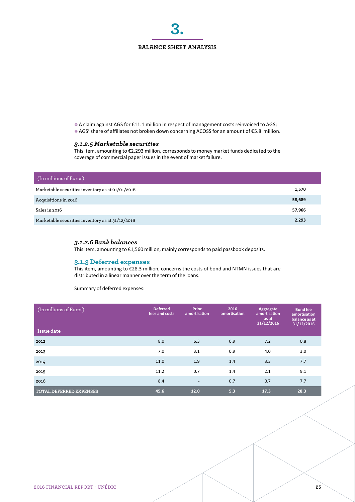**3.**

4 A claim against AGS for €11.1 million in respect of management costs reinvoiced to AGS; 4 AGS' share of affiliates not broken down concerning ACOSS for an amount of €5.8 million.

# *3.1.2.5 Marketable securities*

This item, amounting to €2,293 million, corresponds to money market funds dedicated to the coverage of commercial paper issues in the event of market failure.

| (In millions of Euros)                           |        |
|--------------------------------------------------|--------|
| Marketable securities inventory as at 01/01/2016 | 1,570  |
| Acquisitions in 2016                             | 58,689 |
| Sales in 2016                                    | 57,966 |
| Marketable securities inventory as at 31/12/2016 | 2,293  |

#### *3.1.2.6 Bank balances*

This item, amounting to €1,560 million, mainly corresponds to paid passbook deposits.

#### **3.1.3 Deferred expenses**

This item, amounting to €28.3 million, concerns the costs of bond and NTMN issues that are distributed in a linear manner over the term of the loans.

Summary of deferred expenses:

| (In millions of Euros)<br>Issue date | <b>Deferred</b><br>fees and costs | <b>Prior</b><br>amortisation | 2016<br>amortisation | Aggregate<br>amortisation<br>as at<br>31/12/2016 | <b>Bond fee</b><br>amortisation<br>balance as at<br>31/12/2016 |
|--------------------------------------|-----------------------------------|------------------------------|----------------------|--------------------------------------------------|----------------------------------------------------------------|
| 2012                                 | 8.0                               | 6.3                          | 0.9                  | 7.2                                              | 0.8                                                            |
| 2013                                 | 7.0                               | 3.1                          | 0.9                  | 4.0                                              | 3.0                                                            |
| 2014                                 | 11.0                              | 1.9                          | 1.4                  | 3.3                                              | 7.7                                                            |
| 2015                                 | 11.2                              | 0.7                          | 1.4                  | 2.1                                              | 9.1                                                            |
| 2016                                 | 8.4                               | $\overline{\phantom{a}}$     | 0.7                  | 0.7                                              | 7.7                                                            |
| <b>TOTAL DEFERRED EXPENSES</b>       | 45.6                              | 12.0                         | 5.3                  | 17.3                                             | 28.3                                                           |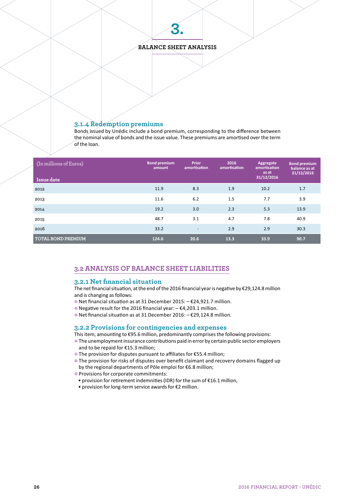

**3.**

#### **3.1.4 Redemption premiums**

Bonds issued by Unédic include a bond premium, corresponding to the difference between the nominal value of bonds and the issue value. These premiums are amortised over the term of the loan.

| (In millions of Euros)<br>Issue date | <b>Bond premium</b><br>amount | <b>Prior</b><br>amortisation | 2016<br>amortisation | Aggregate<br>amortisation<br>as at<br>31/12/2016 | <b>Bond premium</b><br>balance as at<br>31/12/2016 |
|--------------------------------------|-------------------------------|------------------------------|----------------------|--------------------------------------------------|----------------------------------------------------|
| 2012                                 | 11.9                          | 8.3                          | 1.9                  | 10.2                                             | 1.7                                                |
| 2013                                 | 11.6                          | 6.2                          | 1.5                  | 7.7                                              | 3.9                                                |
| 2014                                 | 19.2                          | 3.0                          | 2.3                  | 5.3                                              | 13.9                                               |
| 2015                                 | 48.7                          | 3.1                          | 4.7                  | 7.8                                              | 40.9                                               |
| 2016                                 | 33.2                          | $\overline{\phantom{a}}$     | 2.9                  | 2.9                                              | 30.3                                               |
| <b>TOTAL BOND PREMIUM</b>            | 124.6                         | 20.6                         | 13.3                 | 33.9                                             | 90.7                                               |

# **3.2 ANALYSIS OF BALANCE SHEET LIABILITIES**

#### **3.2.1 Net financial situation**

The net financial situation, at the end of the 2016 financial year is negative by €29,124.8 million and is changing as follows:

- 4 Net financial situation as at 31 December 2015: – €24,921.7 million.
- 4 Negative result for the 2016 financial year: – €4,203.1 million.
- 4 Net financial situation as at 31 December 2016: – €29,124.8 million.

#### **3.2.2 Provisions for contingencies and expenses**

This item, amounting to €95.6 million, predominantly comprises the following provisions:

- $\bullet$  The unemployment insurance contributions paid in error by certain public sector employers and to be repaid for €15.3 million;
- 4 The provision for disputes pursuant to affiliates for €55.4 million;
- The provision for risks of disputes over benefit claimant and recovery domains flagged up by the regional departments of Pôle emploi for €6.8 million;
- **Provisions for corporate commitments:**
- provision for retirement indemnities (IDR) for the sum of €16.1 million,
- provision for long-term service awards for €2 million.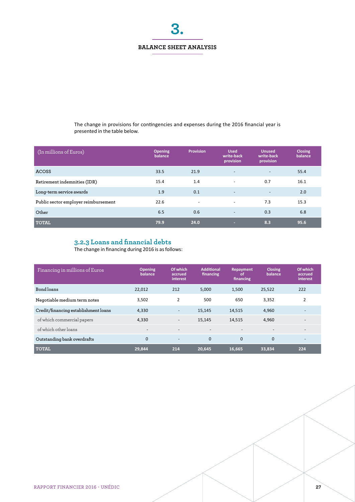**3.**

The change in provisions for contingencies and expenses during the 2016 financial year is presented in the table below.

| (In millions of Euros)               | <b>Opening</b><br>balance | <b>Provision</b>         | <b>Used</b><br>write-back<br>provision | <b>Unused</b><br>write-back<br>provision | <b>Closing</b><br>balance |
|--------------------------------------|---------------------------|--------------------------|----------------------------------------|------------------------------------------|---------------------------|
| <b>ACOSS</b>                         | 33.5                      | 21.9                     | $\overline{\phantom{a}}$               | $\overline{\phantom{a}}$                 | 55.4                      |
| Retirement indemnities (IDR)         | 15.4                      | 1.4                      | ۰                                      | 0.7                                      | 16.1                      |
| Long-term service awards             | 1.9                       | 0.1                      | $\overline{\phantom{a}}$               | $\overline{\phantom{a}}$                 | 2.0                       |
| Public sector employer reimbursement | 22.6                      | $\overline{\phantom{a}}$ | ۰                                      | 7.3                                      | 15.3                      |
| Other                                | 6.5                       | 0.6                      |                                        | 0.3                                      | 6.8                       |
| <b>TOTAL</b>                         | 79.9                      | 24.0                     |                                        | 8.3                                      | 95.6                      |

# **3.2.3 Loans and financial debts**

The change in financing during 2016 is as follows:

| Financing in millions of Euros       | <b>Opening</b><br>balance | Of which<br>accrued<br>interest | <b>Additional</b><br>financing | Repayment<br><b>of</b><br>financing | <b>Closing</b><br>balance | Of which<br>accrued<br>interest |
|--------------------------------------|---------------------------|---------------------------------|--------------------------------|-------------------------------------|---------------------------|---------------------------------|
| Bond loans                           | 22,012                    | 212                             | 5,000                          | 1,500                               | 25,522                    | 222                             |
| Negotiable medium term notes         | 3,502                     | $\overline{2}$                  | 500                            | 650                                 | 3,352                     | 2                               |
| Credit/financing establishment loans | 4,330                     | $\overline{\phantom{a}}$        | 15,145                         | 14,515                              | 4,960                     |                                 |
| of which commercial papers           | 4,330                     | $\overline{\phantom{a}}$        | 15,145                         | 14,515                              | 4,960                     |                                 |
| of which other loans                 | $\overline{\phantom{a}}$  | $\overline{\phantom{a}}$        |                                |                                     | $\overline{\phantom{a}}$  | $\qquad \qquad -$               |
| Outstanding bank overdrafts          | $\mathbf{0}$              | $\overline{\phantom{a}}$        | $\mathbf{0}$                   | $\mathbf{0}$                        | $\mathbf 0$               | $\overline{\phantom{a}}$        |
| <b>TOTAL</b>                         | 29,844                    | 214                             | 20,645                         | 16,665                              | 33,834                    | 224                             |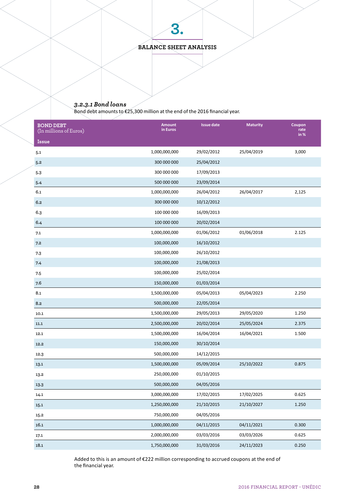**BALANCE SHEET ANALYSIS**

**3.**

# *3.2.3.1 Bond loans*

Bond debt amounts to €25,300 million at the end of the 2016 financial year.

| <b>BOND DEBT</b><br>(In millions of Euros) | <b>Amount</b><br>in Euros | <b>Issue date</b> | <b>Maturity</b> | Coupon<br>rate<br>in% |
|--------------------------------------------|---------------------------|-------------------|-----------------|-----------------------|
| Issue                                      |                           |                   |                 |                       |
| 5.1                                        | 1,000,000,000             | 29/02/2012        | 25/04/2019      | 3,000                 |
| 5.2                                        | 300 000 000               | 25/04/2012        |                 |                       |
| 5.3                                        | 300 000 000               | 17/09/2013        |                 |                       |
| 5.4                                        | 500 000 000               | 23/09/2014        |                 |                       |
| 6.1                                        | 1,000,000,000             | 26/04/2012        | 26/04/2017      | 2,125                 |
| 6.2                                        | 300 000 000               | 10/12/2012        |                 |                       |
| 6.3                                        | 100 000 000               | 16/09/2013        |                 |                       |
| 6.4                                        | 100 000 000               | 20/02/2014        |                 |                       |
| 7.1                                        | 1,000,000,000             | 01/06/2012        | 01/06/2018      | 2.125                 |
| 7.2                                        | 100,000,000               | 16/10/2012        |                 |                       |
| 7.3                                        | 100,000,000               | 26/10/2012        |                 |                       |
| 7.4                                        | 100,000,000               | 21/08/2013        |                 |                       |
| 7.5                                        | 100,000,000               | 25/02/2014        |                 |                       |
| 7.6                                        | 150,000,000               | 01/03/2014        |                 |                       |
| 8.1                                        | 1,500,000,000             | 05/04/2013        | 05/04/2023      | 2.250                 |
| 8.2                                        | 500,000,000               | 22/05/2014        |                 |                       |
| 10.1                                       | 1,500,000,000             | 29/05/2013        | 29/05/2020      | 1.250                 |
| 11.1                                       | 2,500,000,000             | 20/02/2014        | 25/05/2024      | 2.375                 |
| 12.1                                       | 1,500,000,000             | 16/04/2014        | 16/04/2021      | 1.500                 |
| 12.2                                       | 150,000,000               | 30/10/2014        |                 |                       |
| 12.3                                       | 500,000,000               | 14/12/2015        |                 |                       |
| 13.1                                       | 1,500,000,000             | 05/09/2014        | 25/10/2022      | 0.875                 |
| 13.2                                       | 250,000,000               | 01/10/2015        |                 |                       |
| 13.3                                       | 500,000,000               | 04/05/2016        |                 |                       |
| 14.1                                       | 3,000,000,000             | 17/02/2015        | 17/02/2025      | 0.625                 |
| 15.1                                       | 1,250,000,000             | 21/10/2015        | 21/10/2027      | 1.250                 |
| 15.2                                       | 750,000,000               | 04/05/2016        |                 |                       |
| 16.1                                       | 1,000,000,000             | 04/11/2015        | 04/11/2021      | 0.300                 |
| 17.1                                       | 2,000,000,000             | 03/03/2016        | 03/03/2026      | 0.625                 |
| 18.1                                       | 1,750,000,000             | 31/03/2016        | 24/11/2023      | 0.250                 |

Added to this is an amount of €222 million corresponding to accrued coupons at the end of the financial year.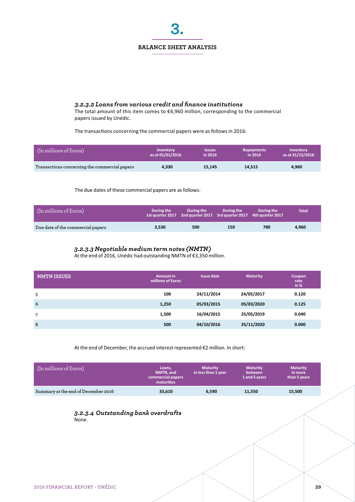

# *3.2.3.2 Loans from various credit and finance institutions*

The total amount of this item comes to €4,960 million, corresponding to the commercial papers issued by Unédic.

The transactions concerning the commercial papers were as follows in 2016:

| (In millions of Euros)                        | <b>Inventory</b> | <i><b>Issues</b></i> | <b>Repayments</b> | Inventory        |
|-----------------------------------------------|------------------|----------------------|-------------------|------------------|
|                                               | as at 01/01/2016 | in 2016              | in 2016           | as at 31/12/2016 |
| Transactions concerning the commercial papers | 4.330            | 15.145               | 14.515            | 4,960            |

The due dates of these commercial papers are as follows:

| $\mid$ (In millions of Euros)     | During the | During the<br>$\frac{1}{1}$ 1st quarter 2017 2nd quarter 2017 3rd quarter 2017 4th quarter 2017 | During the | During the | <b>Total</b> |
|-----------------------------------|------------|-------------------------------------------------------------------------------------------------|------------|------------|--------------|
| Due date of the commercial papers | 3.530      | 500                                                                                             | 150        | 780        | 4.960        |

## *3.2.3.3 Negotiable medium term notes (NMTN)*

At the end of 2016, Unédic had outstanding NMTN of €3,350 million.

| <b>NMTN ISSUES</b> | <b>Amount in</b><br>millions of Euros | <b>Issue date</b> | <b>Maturity</b> | Coupon<br>rate<br>in % |
|--------------------|---------------------------------------|-------------------|-----------------|------------------------|
| 5                  | 100                                   | 24/11/2014        | 24/05/2017      | 0.120                  |
| 6                  | 1,250                                 | 05/03/2015        | 05/03/2020      | 0.125                  |
| 7                  | 1,500                                 | 16/04/2015        | 25/05/2019      | 0.040                  |
| 8                  | 500                                   | 04/10/2016        | 25/11/2020      | 0.000                  |

At the end of December, the accrued interest represented €2 million. In short:

| (In millions of Euros)              | Loans.<br>NMTN, and<br>commercial papers<br>maturities | <b>Maturity</b><br>in less than 1 year | <b>Maturity</b><br>between<br>1 and 5 years | <b>Maturity</b><br>in more<br>than 5 years |
|-------------------------------------|--------------------------------------------------------|----------------------------------------|---------------------------------------------|--------------------------------------------|
| Summary at the end of December 2016 | 33,610                                                 | 6,590                                  | 11.550                                      | 15,500                                     |

#### *3.2.3.4 Outstanding bank overdrafts* None.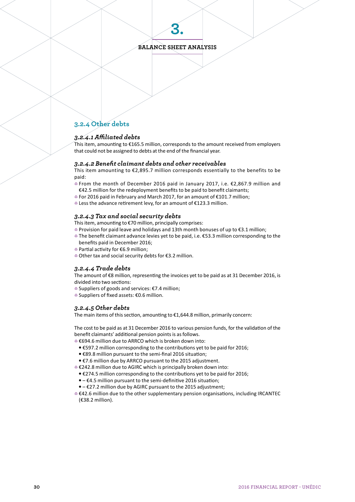**3.**

# **3.2.4 Other debts**

#### *3.2.4.1 Affiliated debts*

This item, amounting to €165.5 million, corresponds to the amount received from employers that could not be assigned to debts at the end of the financial year.

#### *3.2.4.2 Benefit claimant debts and other receivables*

This item amounting to  $\epsilon$ 2,895.7 million corresponds essentially to the benefits to be paid:

- 4 From the month of December 2016 paid in January 2017, i.e. €2,867.9 million and €42.5 million for the redeployment benefits to be paid to benefit claimants;
- 4 For 2016 paid in February and March 2017, for an amount of €101.7 million;
- 4 Less the advance retirement levy, for an amount of €123.3 million.

#### *3.2.4.3 Tax and social security debts*

This item, amounting to €70 million, principally comprises:

- 4 Provision for paid leave and holidays and 13th month bonuses of up to €3.1 million;
- 4 The benefit claimant advance levies yet to be paid, i.e. €53.3 million corresponding to the benefits paid in December 2016;
- 4 Partial activity for €6.9 million;
- 4 Other tax and social security debts for €3.2 million.

#### *3.2.4.4 Trade debts*

The amount of €8 million, representing the invoices yet to be paid as at 31 December 2016, is divided into two sections:

- 4 Suppliers of goods and services: €7.4 million;
- 4 Suppliers of fixed assets: €0.6 million.

#### *3.2.4.5 Other debts*

The main items of this section, amounting to €1,644.8 million, primarily concern:

The cost to be paid as at 31 December 2016 to various pension funds, for the validation of the benefit claimants' additional pension points is as follows.

- 4 €694.6 million due to ARRCO which is broken down into:
- €597.2 million corresponding to the contributions yet to be paid for 2016;
- €89.8 million pursuant to the semi-final 2016 situation;
- €7.6 million due by ARRCO pursuant to the 2015 adjustment.

4 €242.8 million due to AGIRC which is principally broken down into:

- €274.5 million corresponding to the contributions yet to be paid for 2016;
- – €4.5 million pursuant to the semi-definitive 2016 situation;
- – €27.2 million due by AGIRC pursuant to the 2015 adjustment;

4 €42.6 million due to the other supplementary pension organisations, including IRCANTEC (€38.2 million).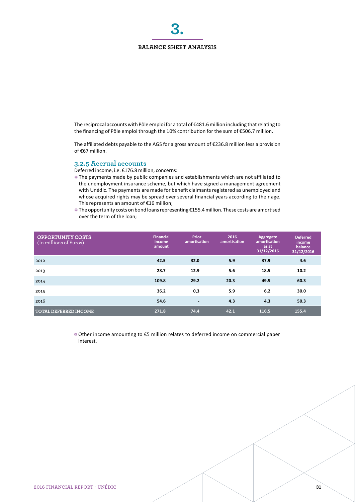**3.**

The reciprocal accounts with Pôle emploi for a total of €481.6 million including that relating to the financing of Pôle emploi through the 10% contribution for the sum of €506.7 million.

The affiliated debts payable to the AGS for a gross amount of €236.8 million less a provision of €67 million.

# **3.2.5 Accrual accounts**

Deferred income, i.e. €176.8 million, concerns:

- $\bullet$  The payments made by public companies and establishments which are not affiliated to the unemployment insurance scheme, but which have signed a management agreement with Unédic. The payments are made for benefit claimants registered as unemployed and whose acquired rights may be spread over several financial years according to their age. This represents an amount of €16 million;
- 4 The opportunity costs on bond loans representing €155.4 million. These costs are amortised over the term of the loan;

| <b>OPPORTUNITY COSTS</b><br>(In millions of Euros) | <b>Financial</b><br>income.<br>amount | <b>Prior</b><br>amortisation | 2016<br>amortisation | Aggregate<br>amortisation<br>as at<br>31/12/2016 | <b>Deferred</b><br>income.<br>balance<br>31/12/2016 |
|----------------------------------------------------|---------------------------------------|------------------------------|----------------------|--------------------------------------------------|-----------------------------------------------------|
| 2012                                               | 42.5                                  | 32.0                         | 5.9                  | 37.9                                             | 4.6                                                 |
| 2013                                               | 28.7                                  | 12.9                         | 5.6                  | 18.5                                             | 10.2                                                |
| 2014                                               | 109.8                                 | 29.2                         | 20.3                 | 49.5                                             | 60.3                                                |
| 2015                                               | 36.2                                  | 0,3                          | 5.9                  | 6.2                                              | 30.0                                                |
| 2016                                               | 54.6                                  | $\overline{\phantom{a}}$     | 4.3                  | 4.3                                              | 50.3                                                |
| <b>TOTAL DEFERRED INCOME</b>                       | 271.8                                 | 74.4                         | 42.1                 | 116.5                                            | 155.4                                               |

4 Other income amounting to €5 million relates to deferred income on commercial paper interest.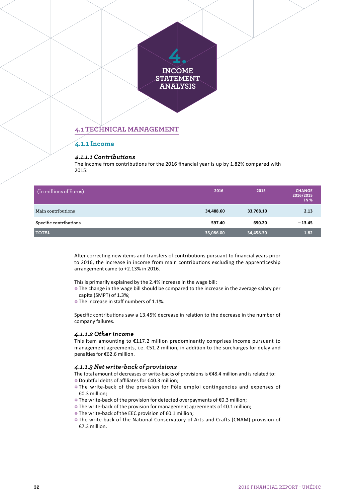

#### *4.1.1.1 Contributions*

The income from contributions for the 2016 financial year is up by 1.82% compared with 2015:

| (In millions of Euros) | 2016      | 2015      | <b>CHANGE</b><br>2016/2015<br><b>IN %</b> |
|------------------------|-----------|-----------|-------------------------------------------|
| Main contributions     | 34,488.60 | 33,768.10 | 2.13                                      |
| Specific contributions | 597.40    | 690.20    | $-13.45$                                  |
| <b>TOTAL</b>           | 35,086.00 | 34,458.30 | 1.82                                      |

After correcting new items and transfers of contributions pursuant to financial years prior to 2016, the increase in income from main contributions excluding the apprenticeship arrangement came to +2.13% in 2016.

This is primarily explained by the 2.4% increase in the wage bill:

- The change in the wage bill should be compared to the increase in the average salary per capita (SMPT) of 1.3%;
- $\bullet$  The increase in staff numbers of 1.1%.

Specific contributions saw a 13.45% decrease in relation to the decrease in the number of company failures.

#### *4.1.1.2 Other income*

This item amounting to  $E117.2$  million predominantly comprises income pursuant to management agreements, i.e. €51.2 million, in addition to the surcharges for delay and penalties for €62.6 million.

#### *4.1.1.3 Net write-back of provisions*

The total amount of decreases or write-backs of provisions is €48.4 million and is related to:

- 4 Doubtful debts of affiliates for €40.3 million;
- **The write-back of the provision for Pôle emploi contingencies and expenses of** €0.3 million;
- 4 The write-back of the provision for detected overpayments of €0.3 million;
- 4 The write-back of the provision for management agreements of €0.1 million;
- 4 The write-back of the EEC provision of €0.1 million;
- **The write-back of the National Conservatory of Arts and Crafts (CNAM) provision of** €7.3 million.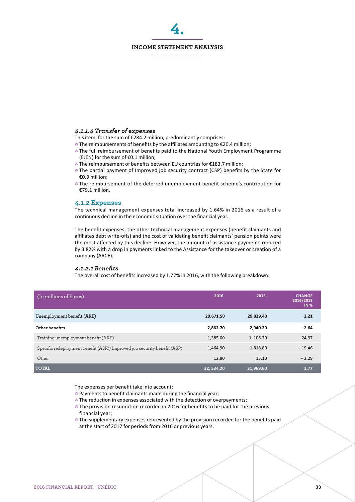#### **INCOME STATEMENT ANALYSIS**

**4.**

#### *4.1.1.4 Transfer of expenses*

This item, for the sum of €284.2 million, predominantly comprises:

- 4 The reimbursements of benefits by the affiliates amounting to €20.4 million;
- 4 The full reimbursement of benefits paid to the National Youth Employment Programme (EJEN) for the sum of €0.1 million;
- 4 The reimbursement of benefits between EU countries for €183.7 million;
- The partial payment of Improved job security contract (CSP) benefits by the State for €0.9 million;
- **The reimbursement of the deferred unemployment benefit scheme's contribution for** €79.1 million.

#### **4.1.2 Expenses**

The technical management expenses total increased by 1.64% in 2016 as a result of a continuous decline in the economic situation over the financial year.

The benefit expenses, the other technical management expenses (benefit claimants and affiliates debt write-offs) and the cost of validating benefit claimants' pension points were the most affected by this decline. However, the amount of assistance payments reduced by 3.82% with a drop in payments linked to the Assistance for the takeover or creation of a company (ARCE).

#### *4.1.2.1 Benefits*

The overall cost of benefits increased by 1.77% in 2016, with the following breakdown:

| (In millions of Euros)                                                  | 2016       | 2015      | <b>CHANGE</b><br>2016/2015<br><b>IN %</b> |
|-------------------------------------------------------------------------|------------|-----------|-------------------------------------------|
| Unemployment benefit (ARE)                                              | 29,671.50  | 29,029.40 | 2.21                                      |
| Other benefits                                                          | 2.862.70   | 2.940.20  | $-2.64$                                   |
| Training unemployment benefit (ARE)                                     | 1,385.00   | 1, 108.30 | 24.97                                     |
| Specific redeployment benefit (ASR)/Improved job security benefit (ASP) | 1,464.90   | 1,818.80  | $-19.46$                                  |
| Other                                                                   | 12.80      | 13.10     | $-2.29$                                   |
| <b>TOTAL</b>                                                            | 32, 534.20 | 31,969.60 | 1.77                                      |

The expenses per benefit take into account:

- **Payments to benefit claimants made during the financial year:**
- The reduction in expenses associated with the detection of overpayments;
- The provision resumption recorded in 2016 for benefits to be paid for the previous financial year;
- $\bullet$  The supplementary expenses represented by the provision recorded for the benefits paid at the start of 2017 for periods from 2016 or previous years.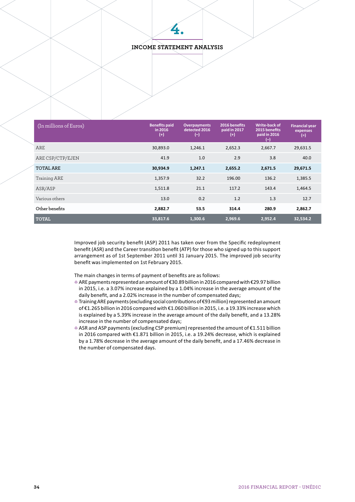## **INCOME STATEMENT ANALYSIS**

**4.**

| $(n$ millions of Euros) | <b>Benefits paid</b><br>in 2016<br>(+ | <b>Overpayments</b><br>detected 2016<br>$\left( -\right)$ | 2016 benefits<br>paid in 2017<br>$^{(+)}$ | Write-back of<br>2015 benefits<br>paid in 2016<br>(-) | <b>Financial year</b><br>expenses<br>$(=\)$ |  |
|-------------------------|---------------------------------------|-----------------------------------------------------------|-------------------------------------------|-------------------------------------------------------|---------------------------------------------|--|
| ARE                     | 30,893.0                              | 1,246.1                                                   | 2,652.3                                   | 2,667.7                                               | 29,631.5                                    |  |
| ARE CSP/CTP/EJEN        | 41.9                                  | 1.0                                                       | 2.9                                       | 3.8                                                   | 40.0                                        |  |
| <b>TOTAL ARE</b>        | 30,934.9                              | 1,247.1                                                   | 2,655.2                                   | 2,671.5                                               | 29,671.5                                    |  |
| Training ARE            | 1,357.9                               | 32.2                                                      | 196.00                                    | 136.2                                                 | 1,385.5                                     |  |
| ASR/ASP                 | 1,511.8                               | 21.1                                                      | 117.2                                     | 143.4                                                 | 1,464.5                                     |  |
| Various others          | 13.0                                  | 0.2                                                       | 1.2                                       | 1.3                                                   | 12.7                                        |  |
| Other benefits          | 2,882.7                               | 53.5                                                      | 314.4                                     | 280.9                                                 | 2,862.7                                     |  |
| <b>TOTAL</b>            | 33,817.6                              | 1.300.6                                                   | 2,969.6                                   | 2,952.4                                               | 32,534.2                                    |  |

Improved job security benefit (ASP) 2011 has taken over from the Specific redeployment benefit (ASR) and the Career transition benefit (ATP) for those who signed up to this support arrangement as of 1st September 2011 until 31 January 2015. The improved job security benefit was implemented on 1st February 2015.

The main changes in terms of payment of benefits are as follows:

- 4 ARE payments represented an amount of €30.89 billion in 2016 compared with €29.97 billion in 2015, i.e. a 3.07% increase explained by a 1.04% increase in the average amount of the daily benefit, and a 2.02% increase in the number of compensated days;
- 4 Training ARE payments (excluding social contributions of €93 million) represented an amount of €1.265 billion in 2016 compared with €1.060 billion in 2015, i.e. a 19.33% increase which is explained by a 5.39% increase in the average amount of the daily benefit, and a 13.28% increase in the number of compensated days;
- 4 ASR and ASP payments (excluding CSP premium) represented the amount of €1.511 billion in 2016 compared with €1.871 billion in 2015, i.e. a 19.24% decrease, which is explained by a 1.78% decrease in the average amount of the daily benefit, and a 17.46% decrease in the number of compensated days.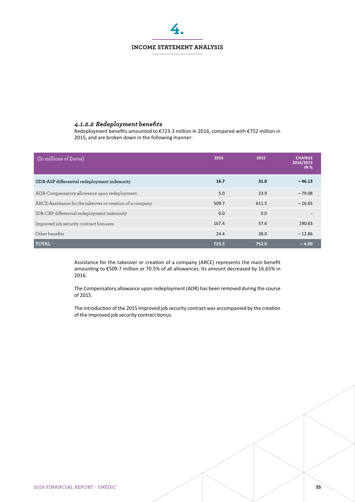# **INCOME STATEMENT ANALYSIS 4.**

## *4.1.2.2 Redeployment benefits*

Redeployment benefits amounted to €723.3 million in 2016, compared with €752 million in 2015, and are broken down in the following manner:

| (In millions of Euros)                                    | 2016  | 2015  | <b>CHANGE</b><br>2016/2015<br><b>IN %</b> |
|-----------------------------------------------------------|-------|-------|-------------------------------------------|
| IIDR-ASP differential redeployment indemnity              | 16.7  | 31.0  | $-46.13$                                  |
| ADR-Compensatory allowance upon redeployment              | 5.0   | 23.9  | $-79.08$                                  |
| ARCE-Assistance for the takeover or creation of a company | 509.7 | 611.5 | $-16.65$                                  |
| IDR-CRP differential redeployment indemnity               | 0.0   | 0.0   |                                           |
| Improved job security contract bonuses                    | 167.4 | 57.6  | 190.63                                    |
| Other benefits                                            | 24.4  | 28.0  | $-12.86$                                  |
| <b>TOTAL</b>                                              | 723.3 | 752.0 | $-4.00$                                   |

Assistance for the takeover or creation of a company (ARCE) represents the main benefit amounting to €509.7 million or 70.5% of all allowances. Its amount decreased by 16.65% in 2016.

The Compensatory allowance upon redeployment (ADR) has been removed during the course of 2015.

The introduction of the 2015 Improved job security contract was accompanied by the creation of the Improved job security contract bonus.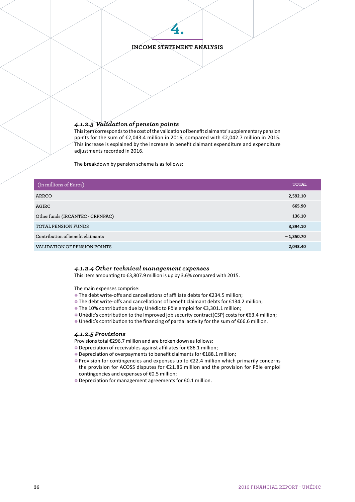# **INCOME STATEMENT ANALYSIS**

**4.**

#### *4.1.2.3 Validation of pension points*

This item corresponds to the cost of the validation of benefit claimants' supplementary pension points for the sum of €2,043.4 million in 2016, compared with €2,042.7 million in 2015. This increase is explained by the increase in benefit claimant expenditure and expenditure adjustments recorded in 2016.

The breakdown by pension scheme is as follows:

| (In millions of Euros)            | <b>TOTAL</b> |
|-----------------------------------|--------------|
| ARRCO                             | 2,592.10     |
| AGIRC                             | 665.90       |
| Other funds (IRCANTEC - CRPNPAC)  | 136.10       |
| TOTAL PENSION FUNDS               | 3,394.10     |
| Contribution of benefit claimants | $-1,350.70$  |
| VALIDATION OF PENSION POINTS      | 2,043.40     |

#### *4.1.2.4 Other technical management expenses*

This item amounting to €3,807.9 million is up by 3.6% compared with 2015.

The main expenses comprise:

- 4 The debt write-offs and cancellations of affiliate debts for €234.5 million;
- 4 The debt write-offs and cancellations of benefit claimant debts for €134.2 million;
- 4 The 10% contribution due by Unédic to Pôle emploi for €3,301.1 million;
- 4 Unédic's contribution to the Improved job security contract(CSP) costs for €63.4 million;
- 4 Unédic's contribution to the financing of partial activity for the sum of €66.6 million.

#### *4.1.2.5 Provisions*

Provisions total €296.7 million and are broken down as follows:

- 4 Depreciation of receivables against affiliates for €86.1 million;
- 4 Depreciation of overpayments to benefit claimants for €188.1 million;
- 4 Provision for contingencies and expenses up to €22.4 million which primarily concerns the provision for ACOSS disputes for €21.86 million and the provision for Pôle emploi contingencies and expenses of €0.5 million;
- 4 Depreciation for management agreements for €0.1 million.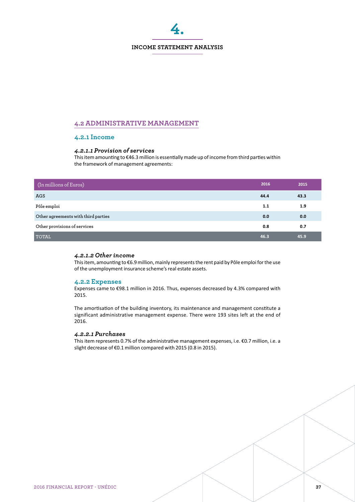

# **4.2 ADMINISTRATIVE MANAGEMENT**

#### **4.2.1 Income**

#### *4.2.1.1 Provision of services*

This item amounting to €46.3 million is essentially made up of income from third parties within the framework of management agreements:

| (In millions of Euros)              | 2016 | 2015 |
|-------------------------------------|------|------|
| <b>AGS</b>                          | 44.4 | 43.3 |
| Pôle emploi                         | 1.1  | 1.9  |
| Other agreements with third parties | 0.0  | 0.0  |
| Other provisions of services        | 0.8  | 0.7  |
| <b>TOTAL</b>                        | 46.3 | 45.9 |

#### *4.2.1.2 Other income*

This item, amounting to €6.9 million, mainly represents the rent paid by Pôle emploi for the use of the unemployment insurance scheme's real estate assets.

#### **4.2.2 Expenses**

Expenses came to €98.1 million in 2016. Thus, expenses decreased by 4.3% compared with 2015.

The amortisation of the building inventory, its maintenance and management constitute a significant administrative management expense. There were 193 sites left at the end of 2016.

#### *4.2.2.1 Purchases*

This item represents 0.7% of the administrative management expenses, i.e. €0.7 million, i.e. a slight decrease of €0.1 million compared with 2015 (0.8 in 2015).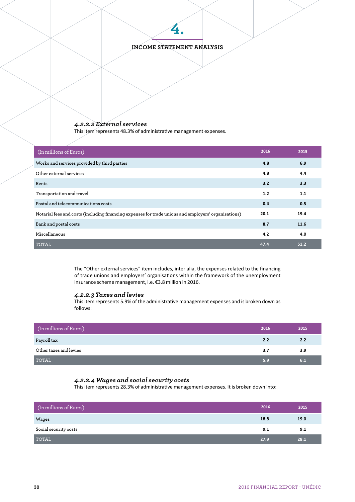# **INCOME STATEMENT ANALYSIS**

**4.**

# *4.2.2.2 External services*

This item represents 48.3% of administrative management expenses.

| (In millions of Euros)                                                                               | 2016 | 2015 |
|------------------------------------------------------------------------------------------------------|------|------|
| Works and services provided by third parties                                                         | 4.8  | 6.9  |
| Other external services                                                                              | 4.8  | 4.4  |
| Rents                                                                                                | 3.2  | 3.3  |
| Transportation and travel                                                                            | 1.2  | 1.1  |
| Postal and telecommunications costs                                                                  | 0.4  | 0.5  |
| Notarial fees and costs (including financing expenses for trade unions and employers' organisations) | 20.1 | 19.4 |
| Bank and postal costs                                                                                | 8.7  | 11.6 |
| Miscellaneous                                                                                        | 4.2  | 4.0  |
| <b>TOTAL</b>                                                                                         | 47.4 | 51.2 |

The "Other external services" item includes, inter alia, the expenses related to the financing of trade unions and employers' organisations within the framework of the unemployment insurance scheme management, i.e. €3.8 million in 2016.

#### *4.2.2.3 Taxes and levies*

This item represents 5.9% of the administrative management expenses and is broken down as follows:

| (In millions of Euros) | 2016 | 2015 |
|------------------------|------|------|
| Payroll tax            | 2.2  | 2.2  |
| Other taxes and levies | 3.7  | 3.9  |
| <b>TOTAL</b>           | 5.9  | 6.1  |

# *4.2.2.4 Wages and social security costs*

This item represents 28.3% of administrative management expenses. It is broken down into:

| (In millions of Euros) | 2016 | 2015 |
|------------------------|------|------|
| Wages                  | 18.8 | 19.0 |
| Social security costs  | 9.1  | 9.1  |
| <b>TOTAL</b>           | 27.9 | 28.1 |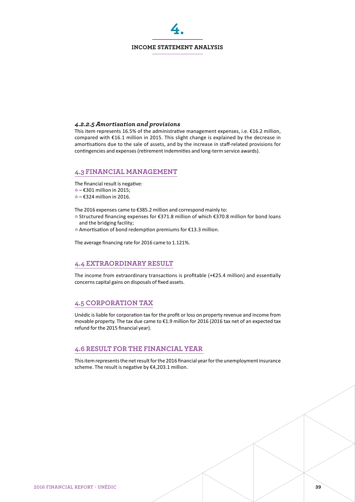#### **INCOME STATEMENT ANALYSIS**

**4.**

#### *4.2.2.5 Amortisation and provisions*

This item represents 16.5% of the administrative management expenses, i.e.  $\epsilon$ 16.2 million, compared with €16.1 million in 2015. This slight change is explained by the decrease in amortisations due to the sale of assets, and by the increase in staff-related provisions for contingencies and expenses (retirement indemnities and long-term service awards).

# **4.3 FINANCIAL MANAGEMENT**

The financial result is negative:

- 4 – €301 million in 2015;
- 4 – €324 million in 2016.

The 2016 expenses came to €385.2 million and correspond mainly to:

- 4 Structured financing expenses for €371.8 million of which €370.8 million for bond loans and the bridging facility;
- 4 Amortisation of bond redemption premiums for €13.3 million.

The average financing rate for 2016 came to 1.121%.

## **4.4 EXTRAORDINARY RESULT**

The income from extraordinary transactions is profitable (+€25.4 million) and essentially concerns capital gains on disposals of fixed assets.

# **4.5 CORPORATION TAX**

Unédic is liable for corporation tax for the profit or loss on property revenue and income from movable property. The tax due came to €1.9 million for 2016 (2016 tax net of an expected tax refund for the 2015 financial year).

## **4.6 RESULT FOR THE FINANCIAL YEAR**

This item represents the net result for the 2016 financial year for the unemployment insurance scheme. The result is negative by €4,203.1 million.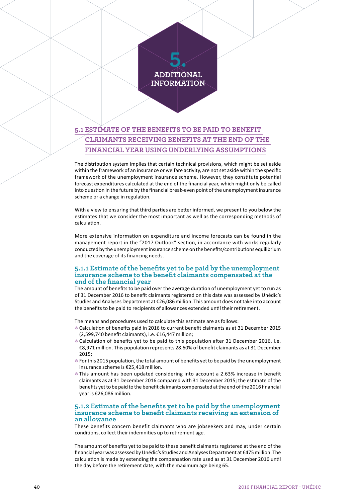# **5. ADDITIONAL INFORMATION**

# **5.1 ESTIMATE OF THE BENEFITS TO BE PAID TO BENEFIT CLAIMANTS RECEIVING BENEFITS AT THE END OF THE FINANCIAL YEAR USING UNDERLYING ASSUMPTIONS**

The distribution system implies that certain technical provisions, which might be set aside within the framework of an insurance or welfare activity, are not set aside within the specific framework of the unemployment insurance scheme. However, they constitute potential forecast expenditures calculated at the end of the financial year, which might only be called into question in the future by the financial break-even point of the unemployment insurance scheme or a change in regulation.

With a view to ensuring that third parties are better informed, we present to you below the estimates that we consider the most important as well as the corresponding methods of calculation.

More extensive information on expenditure and income forecasts can be found in the management report in the "2017 Outlook" section, in accordance with works regularly conducted by the unemployment insurance scheme on the benefits/contributions equilibrium and the coverage of its financing needs.

#### **5.1.1 Estimate of the benefits yet to be paid by the unemployment insurance scheme to the benefit claimants compensated at the end of the financial year**

The amount of benefits to be paid over the average duration of unemployment yet to run as of 31 December 2016 to benefit claimants registered on this date was assessed by Unédic's Studies and Analyses Department at €26,086 million. This amount does not take into account the benefits to be paid to recipients of allowances extended until their retirement.

The means and procedures used to calculate this estimate are as follows:

- 4 Calculation of benefits paid in 2016 to current benefit claimants as at 31 December 2015 (2,599,740 benefit claimants), i.e. €16,447 million;
- **Calculation of benefits yet to be paid to this population after 31 December 2016, i.e.** €8,971 million. This population represents 28.60% of benefit claimants as at 31 December 2015;
- 4 For this 2015 population, the total amount of benefits yet to be paid by the unemployment insurance scheme is €25,418 million.
- This amount has been updated considering into account a 2.63% increase in benefit claimants as at 31 December 2016 compared with 31 December 2015; the estimate of the benefits yet to be paid to the benefit claimants compensated at the end of the 2016 financial year is €26,086 million.

#### **5.1.2 Estimate of the benefits yet to be paid by the unemployment insurance scheme to benefit claimants receiving an extension of an allowance**

These benefits concern benefit claimants who are jobseekers and may, under certain conditions, collect their indemnities up to retirement age.

The amount of benefits yet to be paid to these benefit claimants registered at the end of the financial year was assessed by Unédic's Studies and Analyses Department at €475 million. The calculation is made by extending the compensation rate used as at 31 December 2016 until the day before the retirement date, with the maximum age being 65.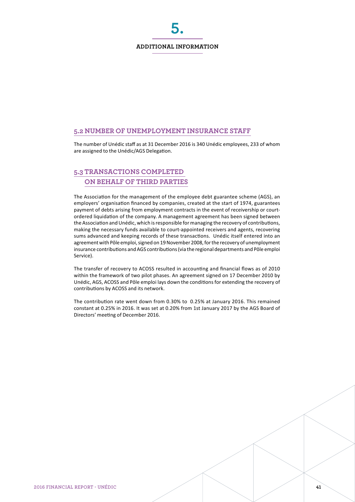#### **ADDITIONAL INFORMATION**

**5.**

# **5.2 NUMBER OF UNEMPLOYMENT INSURANCE STAFF**

The number of Unédic staff as at 31 December 2016 is 340 Unédic employees, 233 of whom are assigned to the Unédic/AGS Delegation.

# **5.3 TRANSACTIONS COMPLETED ON BEHALF OF THIRD PARTIES**

The Association for the management of the employee debt guarantee scheme (AGS), an employers' organisation financed by companies, created at the start of 1974, guarantees payment of debts arising from employment contracts in the event of receivership or courtordered liquidation of the company. A management agreement has been signed between the Association and Unédic, which is responsible for managing the recovery of contributions, making the necessary funds available to court-appointed receivers and agents, recovering sums advanced and keeping records of these transactions. Unédic itself entered into an agreement with Pôle emploi, signed on 19 November 2008, for the recovery of unemployment insurance contributions and AGS contributions (via the regional departments and Pôle emploi Service).

The transfer of recovery to ACOSS resulted in accounting and financial flows as of 2010 within the framework of two pilot phases. An agreement signed on 17 December 2010 by Unédic, AGS, ACOSS and Pôle emploi lays down the conditions for extending the recovery of contributions by ACOSS and its network.

The contribution rate went down from 0.30% to 0.25% at January 2016. This remained constant at 0.25% in 2016. It was set at 0.20% from 1st January 2017 by the AGS Board of Directors' meeting of December 2016.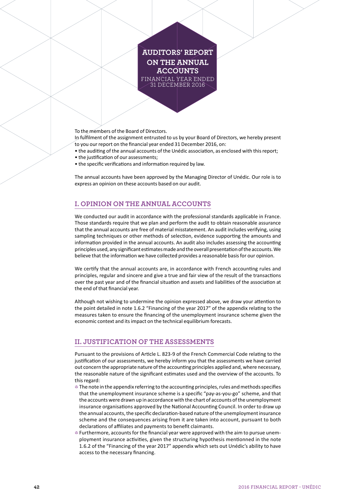# **AUDITORS' REPORT ON THE ANNUAL ACCOUNTS** FINANCIAL YEAR ENDED 31 DECEMBER 2016

To the members of the Board of Directors.

In fulfilment of the assignment entrusted to us by your Board of Directors, we hereby present to you our report on the financial year ended 31 December 2016, on:

- the auditing of the annual accounts of the Unédic association, as enclosed with this report;
- the justification of our assessments;
- the specific verifications and information required by law.

The annual accounts have been approved by the Managing Director of Unédic. Our role is to express an opinion on these accounts based on our audit.

# **I. OPINION ON THE ANNUAL ACCOUNTS**

We conducted our audit in accordance with the professional standards applicable in France. Those standards require that we plan and perform the audit to obtain reasonable assurance that the annual accounts are free of material misstatement. An audit includes verifying, using sampling techniques or other methods of selection, evidence supporting the amounts and information provided in the annual accounts. An audit also includes assessing the accounting principles used, any significant estimates made and the overall presentation of the accounts. We believe that the information we have collected provides a reasonable basis for our opinion.

We certify that the annual accounts are, in accordance with French accounting rules and principles, regular and sincere and give a true and fair view of the result of the transactions over the past year and of the financial situation and assets and liabilities of the association at the end of that financial year.

Although not wishing to undermine the opinion expressed above, we draw your attention to the point detailed in note 1.6.2 "Financing of the year 2017" of the appendix relating to the measures taken to ensure the financing of the unemployment insurance scheme given the economic context and its impact on the technical equilibrium forecasts.

# **II. JUSTIFICATION OF THE ASSESSMENTS**

Pursuant to the provisions of Article L. 823-9 of the French Commercial Code relating to the justification of our assessments, we hereby inform you that the assessments we have carried out concern the appropriate nature of the accounting principles applied and, where necessary, the reasonable nature of the significant estimates used and the overview of the accounts. To this regard:

- $\bullet$  The note in the appendix referring to the accounting principles, rules and methods specifies that the unemployment insurance scheme is a specific "pay-as-you-go" scheme, and that the accounts were drawn up in accordance with the chart of accounts of the unemployment insurance organisations approved by the National Accounting Council. In order to draw up the annual accounts, the specific declaration-based nature of the unemployment insurance scheme and the consequences arising from it are taken into account, pursuant to both declarations of affiliates and payments to benefit claimants.
- 4 Furthermore, accounts for the financial year were approved with the aim to pursue unemployment insurance activities, given the structuring hypothesis mentionned in the note 1.6.2 of the "Financing of the year 2017" appendix which sets out Unédic's ability to have access to the necessary financing.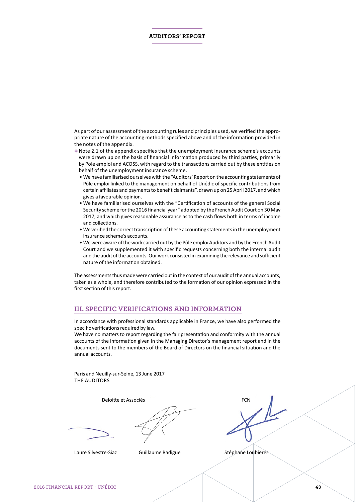#### **AUDITORS' REPORT**

As part of our assessment of the accounting rules and principles used, we verified the appropriate nature of the accounting methods specified above and of the information provided in the notes of the appendix.

- 4 Note 2.1 of the appendix specifies that the unemployment insurance scheme's accounts were drawn up on the basis of financial information produced by third parties, primarily by Pôle emploi and ACOSS, with regard to the transactions carried out by these entities on behalf of the unemployment insurance scheme.
	- We have familiarised ourselves with the "Auditors' Report on the accounting statements of Pôle emploi linked to the management on behalf of Unédic of specific contributions from certain affiliates and payments to benefit claimants", drawn up on 25 April 2017, and which gives a favourable opinion.
	- We have familiarised ourselves with the "Certification of accounts of the general Social Security scheme for the 2016 financial year" adopted by the French Audit Court on 30 May 2017, and which gives reasonable assurance as to the cash flows both in terms of income and collections.
	- We verified the correct transcription of these accounting statements in the unemployment insurance scheme's accounts.
	- We were aware of the work carried out by the Pôle emploi Auditors and by the French Audit Court and we supplemented it with specific requests concerning both the internal audit and the audit of the accounts. Our work consisted in examining the relevance and sufficient nature of the information obtained.

The assessments thus made were carried out in the context of our audit of the annual accounts, taken as a whole, and therefore contributed to the formation of our opinion expressed in the first section of this report.

#### **III. SPECIFIC VERIFICATIONS AND INFORMATION**

In accordance with professional standards applicable in France, we have also performed the specific verifications required by law.

We have no matters to report regarding the fair presentation and conformity with the annual accounts of the information given in the Managing Director's management report and in the documents sent to the members of the Board of Directors on the financial situation and the annual accounts.

Paris and Neuilly-sur-Seine, 13 June 2017 THE AUDITORS

Deloitte et Associés **FCN**